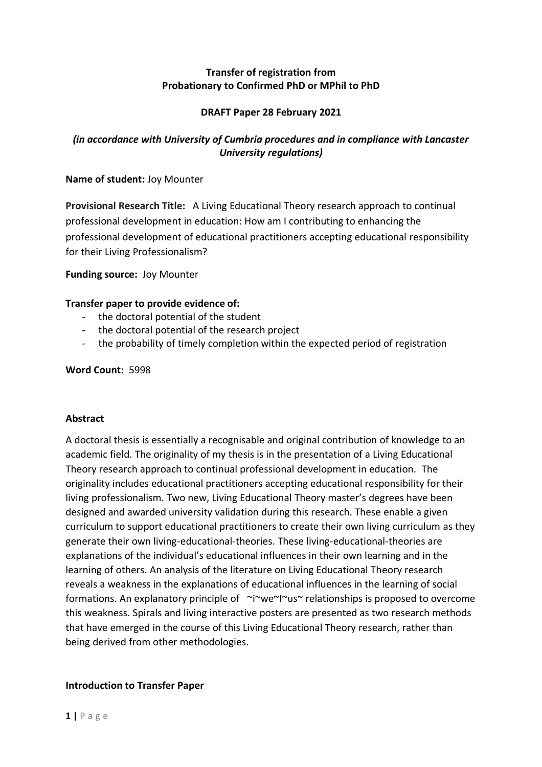## **Transfer of registration from Probationary to Confirmed PhD or MPhil to PhD**

## **DRAFT Paper 28 February 2021**

# *(in accordance with University of Cumbria procedures and in compliance with Lancaster University regulations)*

## **Name of student:** Joy Mounter

**Provisional Research Title:** A Living Educational Theory research approach to continual professional development in education: How am I contributing to enhancing the professional development of educational practitioners accepting educational responsibility for their Living Professionalism?

**Funding source:** Joy Mounter

## **Transfer paper to provide evidence of:**

- the doctoral potential of the student
- the doctoral potential of the research project
- the probability of timely completion within the expected period of registration

## **Word Count**: 5998

## **Abstract**

A doctoral thesis is essentially a recognisable and original contribution of knowledge to an academic field. The originality of my thesis is in the presentation of a Living Educational Theory research approach to continual professional development in education. The originality includes educational practitioners accepting educational responsibility for their living professionalism. Two new, Living Educational Theory master's degrees have been designed and awarded university validation during this research. These enable a given curriculum to support educational practitioners to create their own living curriculum as they generate their own living-educational-theories. These living-educational-theories are explanations of the individual's educational influences in their own learning and in the learning of others. An analysis of the literature on Living Educational Theory research reveals a weakness in the explanations of educational influences in the learning of social formations. An explanatory principle of ~i~we~I~us~ relationships is proposed to overcome this weakness. Spirals and living interactive posters are presented as two research methods that have emerged in the course of this Living Educational Theory research, rather than being derived from other methodologies.

## **Introduction to Transfer Paper**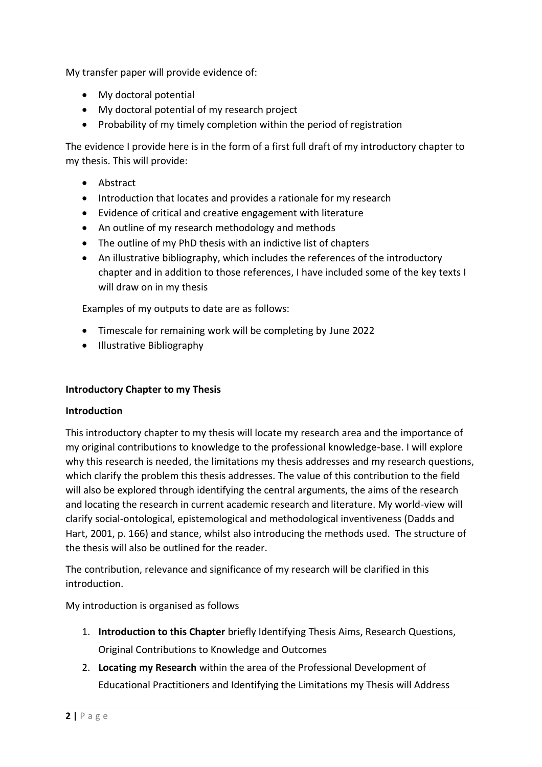My transfer paper will provide evidence of:

- My doctoral potential
- My doctoral potential of my research project
- Probability of my timely completion within the period of registration

The evidence I provide here is in the form of a first full draft of my introductory chapter to my thesis. This will provide:

- Abstract
- Introduction that locates and provides a rationale for my research
- Evidence of critical and creative engagement with literature
- An outline of my research methodology and methods
- The outline of my PhD thesis with an indictive list of chapters
- An illustrative bibliography, which includes the references of the introductory chapter and in addition to those references, I have included some of the key texts I will draw on in my thesis

Examples of my outputs to date are as follows:

- Timescale for remaining work will be completing by June 2022
- Illustrative Bibliography

## **Introductory Chapter to my Thesis**

## **Introduction**

This introductory chapter to my thesis will locate my research area and the importance of my original contributions to knowledge to the professional knowledge-base. I will explore why this research is needed, the limitations my thesis addresses and my research questions, which clarify the problem this thesis addresses. The value of this contribution to the field will also be explored through identifying the central arguments, the aims of the research and locating the research in current academic research and literature. My world-view will clarify social-ontological, epistemological and methodological inventiveness (Dadds and Hart, 2001, p. 166) and stance, whilst also introducing the methods used. The structure of the thesis will also be outlined for the reader.

The contribution, relevance and significance of my research will be clarified in this introduction.

My introduction is organised as follows

- 1. **Introduction to this Chapter** briefly Identifying Thesis Aims, Research Questions, Original Contributions to Knowledge and Outcomes
- 2. **Locating my Research** within the area of the Professional Development of Educational Practitioners and Identifying the Limitations my Thesis will Address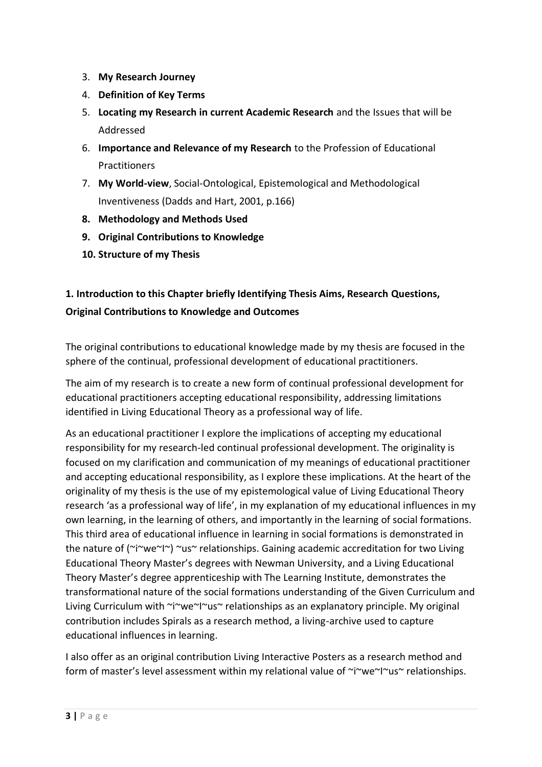- 3. **My Research Journey**
- 4. **Definition of Key Terms**
- 5. **Locating my Research in current Academic Research** and the Issues that will be Addressed
- 6. **Importance and Relevance of my Research** to the Profession of Educational **Practitioners**
- 7. **My World-view**, Social-Ontological, Epistemological and Methodological Inventiveness (Dadds and Hart, 2001, p.166)
- **8. Methodology and Methods Used**
- **9. Original Contributions to Knowledge**
- **10. Structure of my Thesis**

# **1. Introduction to this Chapter briefly Identifying Thesis Aims, Research Questions, Original Contributions to Knowledge and Outcomes**

The original contributions to educational knowledge made by my thesis are focused in the sphere of the continual, professional development of educational practitioners.

The aim of my research is to create a new form of continual professional development for educational practitioners accepting educational responsibility, addressing limitations identified in Living Educational Theory as a professional way of life.

As an educational practitioner I explore the implications of accepting my educational responsibility for my research-led continual professional development. The originality is focused on my clarification and communication of my meanings of educational practitioner and accepting educational responsibility, as I explore these implications. At the heart of the originality of my thesis is the use of my epistemological value of Living Educational Theory research 'as a professional way of life', in my explanation of my educational influences in my own learning, in the learning of others, and importantly in the learning of social formations. This third area of educational influence in learning in social formations is demonstrated in the nature of (~i~we~I~) ~us~ relationships. Gaining academic accreditation for two Living Educational Theory Master's degrees with Newman University, and a Living Educational Theory Master's degree apprenticeship with The Learning Institute, demonstrates the transformational nature of the social formations understanding of the Given Curriculum and Living Curriculum with ~i~we~I~us~ relationships as an explanatory principle. My original contribution includes Spirals as a research method, a living-archive used to capture educational influences in learning.

I also offer as an original contribution Living Interactive Posters as a research method and form of master's level assessment within my relational value of ~i~we~I~us~ relationships.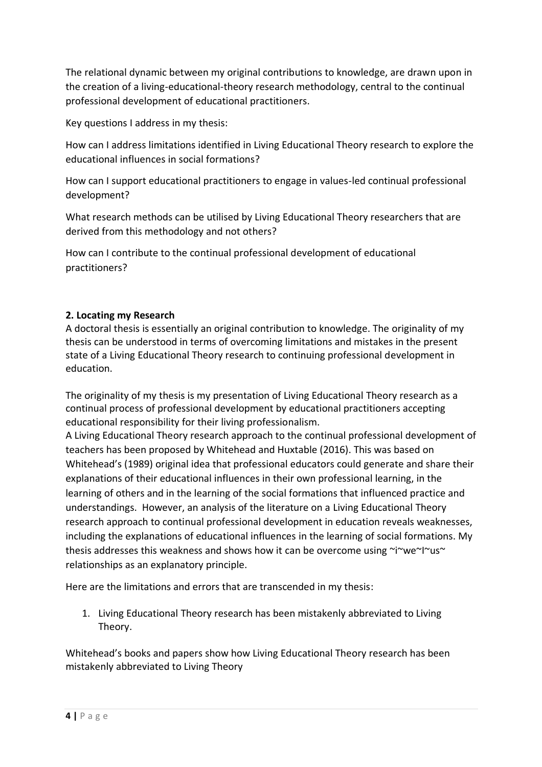The relational dynamic between my original contributions to knowledge, are drawn upon in the creation of a living-educational-theory research methodology, central to the continual professional development of educational practitioners.

Key questions I address in my thesis:

How can I address limitations identified in Living Educational Theory research to explore the educational influences in social formations?

How can I support educational practitioners to engage in values-led continual professional development?

What research methods can be utilised by Living Educational Theory researchers that are derived from this methodology and not others?

How can I contribute to the continual professional development of educational practitioners?

# **2. Locating my Research**

A doctoral thesis is essentially an original contribution to knowledge. The originality of my thesis can be understood in terms of overcoming limitations and mistakes in the present state of a Living Educational Theory research to continuing professional development in education.

The originality of my thesis is my presentation of Living Educational Theory research as a continual process of professional development by educational practitioners accepting educational responsibility for their living professionalism.

A Living Educational Theory research approach to the continual professional development of teachers has been proposed by Whitehead and Huxtable (2016). This was based on Whitehead's (1989) original idea that professional educators could generate and share their explanations of their educational influences in their own professional learning, in the learning of others and in the learning of the social formations that influenced practice and understandings. However, an analysis of the literature on a Living Educational Theory research approach to continual professional development in education reveals weaknesses, including the explanations of educational influences in the learning of social formations. My thesis addresses this weakness and shows how it can be overcome using ~i~we~I~us~ relationships as an explanatory principle.

Here are the limitations and errors that are transcended in my thesis:

1. Living Educational Theory research has been mistakenly abbreviated to Living Theory.

Whitehead's books and papers show how Living Educational Theory research has been mistakenly abbreviated to Living Theory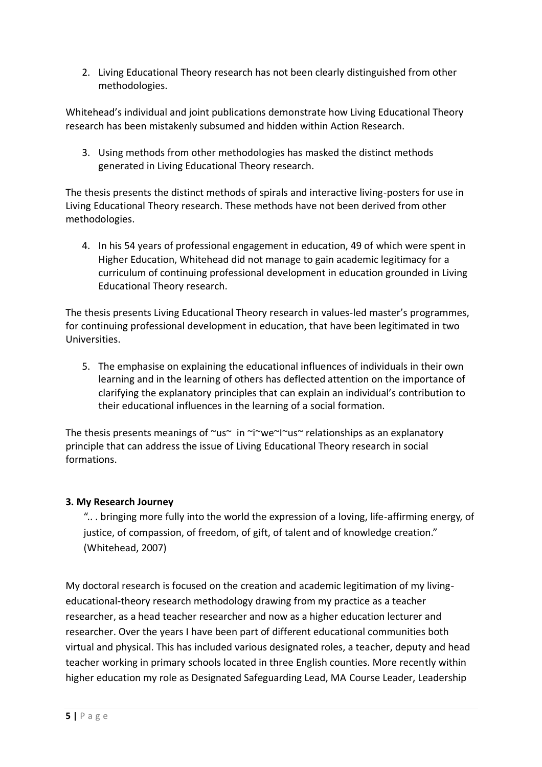2. Living Educational Theory research has not been clearly distinguished from other methodologies.

Whitehead's individual and joint publications demonstrate how Living Educational Theory research has been mistakenly subsumed and hidden within Action Research.

3. Using methods from other methodologies has masked the distinct methods generated in Living Educational Theory research.

The thesis presents the distinct methods of spirals and interactive living-posters for use in Living Educational Theory research. These methods have not been derived from other methodologies.

4. In his 54 years of professional engagement in education, 49 of which were spent in Higher Education, Whitehead did not manage to gain academic legitimacy for a curriculum of continuing professional development in education grounded in Living Educational Theory research.

The thesis presents Living Educational Theory research in values-led master's programmes, for continuing professional development in education, that have been legitimated in two Universities.

5. The emphasise on explaining the educational influences of individuals in their own learning and in the learning of others has deflected attention on the importance of clarifying the explanatory principles that can explain an individual's contribution to their educational influences in the learning of a social formation.

The thesis presents meanings of  $\sim$ us $\sim$  in  $\sim$ i $\sim$ we $\sim$ I $\sim$ us $\sim$  relationships as an explanatory principle that can address the issue of Living Educational Theory research in social formations.

# **3. My Research Journey**

".. . bringing more fully into the world the expression of a loving, life-affirming energy, of justice, of compassion, of freedom, of gift, of talent and of knowledge creation." (Whitehead, 2007)

My doctoral research is focused on the creation and academic legitimation of my livingeducational-theory research methodology drawing from my practice as a teacher researcher, as a head teacher researcher and now as a higher education lecturer and researcher. Over the years I have been part of different educational communities both virtual and physical. This has included various designated roles, a teacher, deputy and head teacher working in primary schools located in three English counties. More recently within higher education my role as Designated Safeguarding Lead, MA Course Leader, Leadership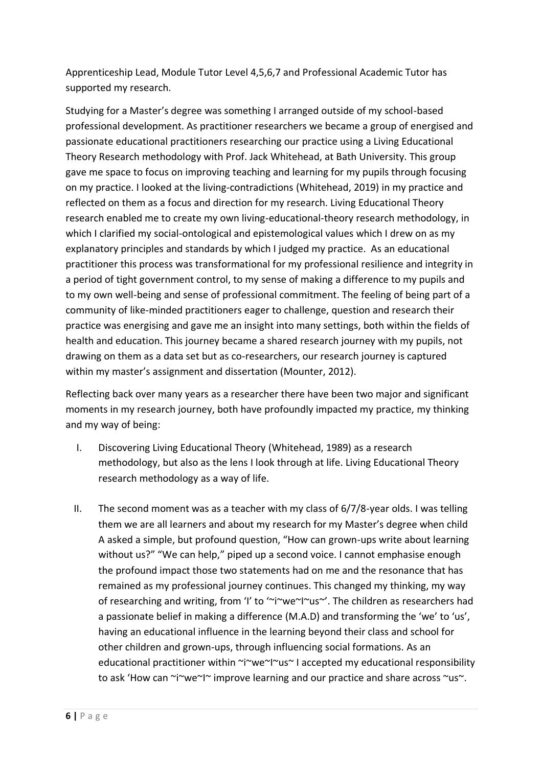Apprenticeship Lead, Module Tutor Level 4,5,6,7 and Professional Academic Tutor has supported my research.

Studying for a Master's degree was something I arranged outside of my school-based professional development. As practitioner researchers we became a group of energised and passionate educational practitioners researching our practice using a Living Educational Theory Research methodology with Prof. Jack Whitehead, at Bath University. This group gave me space to focus on improving teaching and learning for my pupils through focusing on my practice. I looked at the living-contradictions (Whitehead, 2019) in my practice and reflected on them as a focus and direction for my research. Living Educational Theory research enabled me to create my own living-educational-theory research methodology, in which I clarified my social-ontological and epistemological values which I drew on as my explanatory principles and standards by which I judged my practice. As an educational practitioner this process was transformational for my professional resilience and integrity in a period of tight government control, to my sense of making a difference to my pupils and to my own well-being and sense of professional commitment. The feeling of being part of a community of like-minded practitioners eager to challenge, question and research their practice was energising and gave me an insight into many settings, both within the fields of health and education. This journey became a shared research journey with my pupils, not drawing on them as a data set but as co-researchers, our research journey is captured within my master's assignment and dissertation (Mounter, 2012).

Reflecting back over many years as a researcher there have been two major and significant moments in my research journey, both have profoundly impacted my practice, my thinking and my way of being:

- I. Discovering Living Educational Theory (Whitehead, 1989) as a research methodology, but also as the lens I look through at life. Living Educational Theory research methodology as a way of life.
- II. The second moment was as a teacher with my class of 6/7/8-year olds. I was telling them we are all learners and about my research for my Master's degree when child A asked a simple, but profound question, "How can grown-ups write about learning without us?" "We can help," piped up a second voice. I cannot emphasise enough the profound impact those two statements had on me and the resonance that has remained as my professional journey continues. This changed my thinking, my way of researching and writing, from 'I' to '~i~we~I~us~'. The children as researchers had a passionate belief in making a difference (M.A.D) and transforming the 'we' to 'us', having an educational influence in the learning beyond their class and school for other children and grown-ups, through influencing social formations. As an educational practitioner within ~i~we~I~us~ I accepted my educational responsibility to ask 'How can ~i~we~I~ improve learning and our practice and share across ~us~.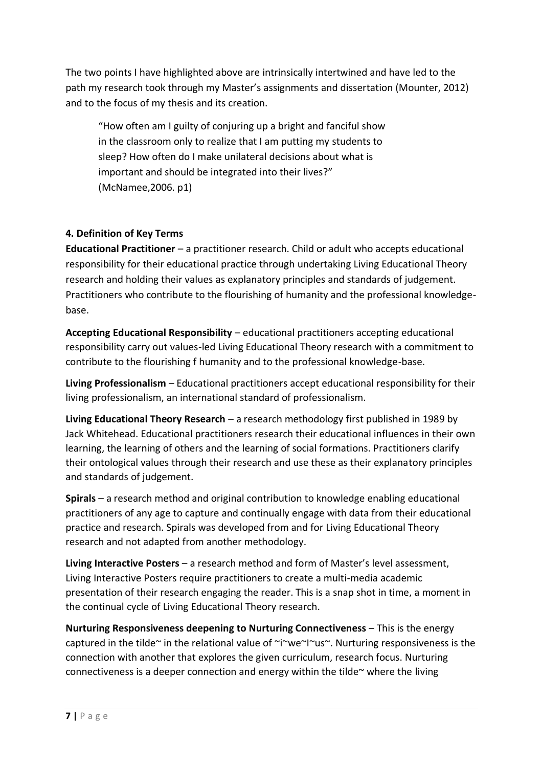The two points I have highlighted above are intrinsically intertwined and have led to the path my research took through my Master's assignments and dissertation (Mounter, 2012) and to the focus of my thesis and its creation.

"How often am I guilty of conjuring up a bright and fanciful show in the classroom only to realize that I am putting my students to sleep? How often do I make unilateral decisions about what is important and should be integrated into their lives?" (McNamee,2006. p1)

# **4. Definition of Key Terms**

**Educational Practitioner** – a practitioner research. Child or adult who accepts educational responsibility for their educational practice through undertaking Living Educational Theory research and holding their values as explanatory principles and standards of judgement. Practitioners who contribute to the flourishing of humanity and the professional knowledgebase.

**Accepting Educational Responsibility** – educational practitioners accepting educational responsibility carry out values-led Living Educational Theory research with a commitment to contribute to the flourishing f humanity and to the professional knowledge-base.

**Living Professionalism** – Educational practitioners accept educational responsibility for their living professionalism, an international standard of professionalism.

**Living Educational Theory Research** – a research methodology first published in 1989 by Jack Whitehead. Educational practitioners research their educational influences in their own learning, the learning of others and the learning of social formations. Practitioners clarify their ontological values through their research and use these as their explanatory principles and standards of judgement.

**Spirals** – a research method and original contribution to knowledge enabling educational practitioners of any age to capture and continually engage with data from their educational practice and research. Spirals was developed from and for Living Educational Theory research and not adapted from another methodology.

**Living Interactive Posters** – a research method and form of Master's level assessment, Living Interactive Posters require practitioners to create a multi-media academic presentation of their research engaging the reader. This is a snap shot in time, a moment in the continual cycle of Living Educational Theory research.

**Nurturing Responsiveness deepening to Nurturing Connectiveness** – This is the energy captured in the tilde~ in the relational value of ~i~we~I~us~. Nurturing responsiveness is the connection with another that explores the given curriculum, research focus. Nurturing connectiveness is a deeper connection and energy within the tilde $\sim$  where the living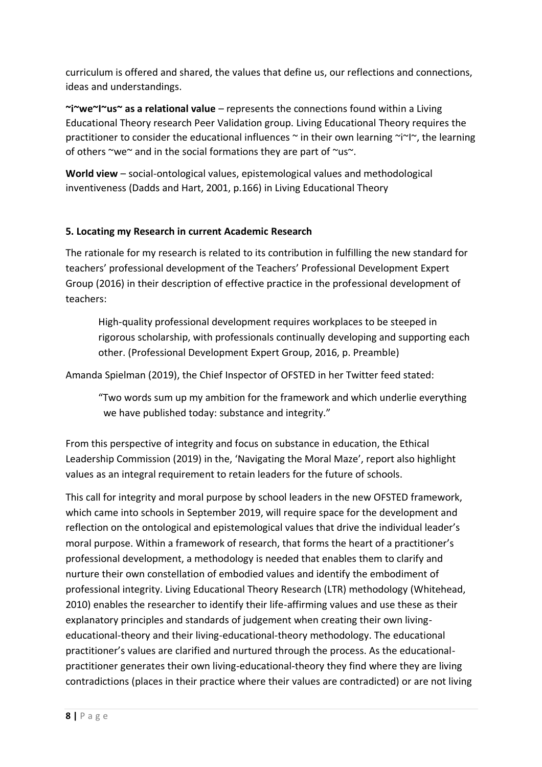curriculum is offered and shared, the values that define us, our reflections and connections, ideas and understandings.

**~i~we~I~us~ as a relational value** – represents the connections found within a Living Educational Theory research Peer Validation group. Living Educational Theory requires the practitioner to consider the educational influences  $\sim$  in their own learning  $\sim$ i $\sim$ l $\sim$ , the learning of others ~we~ and in the social formations they are part of ~us~.

**World view** – social-ontological values, epistemological values and methodological inventiveness (Dadds and Hart, 2001, p.166) in Living Educational Theory

# **5. Locating my Research in current Academic Research**

The rationale for my research is related to its contribution in fulfilling the new standard for teachers' professional development of the Teachers' Professional Development Expert Group (2016) in their description of effective practice in the professional development of teachers:

High-quality professional development requires workplaces to be steeped in rigorous scholarship, with professionals continually developing and supporting each other. (Professional Development Expert Group, 2016, p. Preamble)

Amanda Spielman (2019), the Chief Inspector of OFSTED in her Twitter feed stated:

"Two words sum up my ambition for the framework and which underlie everything we have published today: substance and integrity."

From this perspective of integrity and focus on substance in education, the Ethical Leadership Commission (2019) in the, 'Navigating the Moral Maze', report also highlight values as an integral requirement to retain leaders for the future of schools.

This call for integrity and moral purpose by school leaders in the new OFSTED framework, which came into schools in September 2019, will require space for the development and reflection on the ontological and epistemological values that drive the individual leader's moral purpose. Within a framework of research, that forms the heart of a practitioner's professional development, a methodology is needed that enables them to clarify and nurture their own constellation of embodied values and identify the embodiment of professional integrity. Living Educational Theory Research (LTR) methodology (Whitehead, 2010) enables the researcher to identify their life-affirming values and use these as their explanatory principles and standards of judgement when creating their own livingeducational-theory and their living-educational-theory methodology. The educational practitioner's values are clarified and nurtured through the process. As the educationalpractitioner generates their own living-educational-theory they find where they are living contradictions (places in their practice where their values are contradicted) or are not living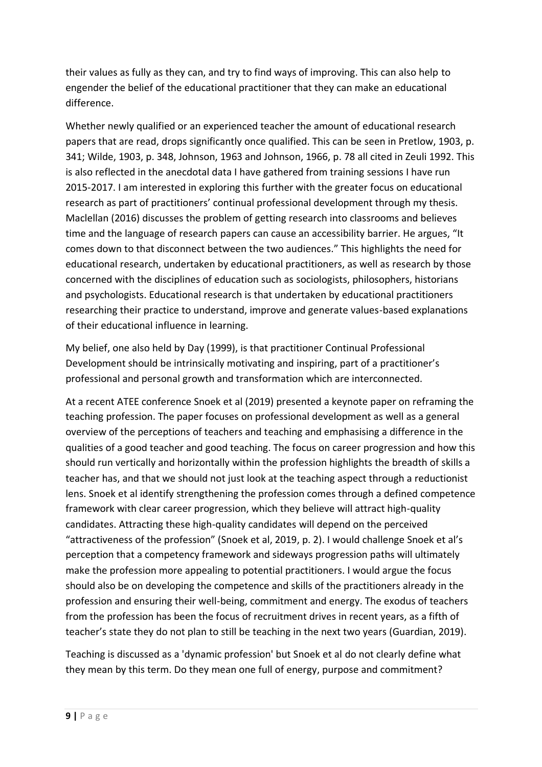their values as fully as they can, and try to find ways of improving. This can also help to engender the belief of the educational practitioner that they can make an educational difference.

Whether newly qualified or an experienced teacher the amount of educational research papers that are read, drops significantly once qualified. This can be seen in Pretlow, 1903, p. 341; Wilde, 1903, p. 348, Johnson, 1963 and Johnson, 1966, p. 78 all cited in Zeuli 1992. This is also reflected in the anecdotal data I have gathered from training sessions I have run 2015-2017. I am interested in exploring this further with the greater focus on educational research as part of practitioners' continual professional development through my thesis. Maclellan (2016) discusses the problem of getting research into classrooms and believes time and the language of research papers can cause an accessibility barrier. He argues, "It comes down to that disconnect between the two audiences." This highlights the need for educational research, undertaken by educational practitioners, as well as research by those concerned with the disciplines of education such as sociologists, philosophers, historians and psychologists. Educational research is that undertaken by educational practitioners researching their practice to understand, improve and generate values-based explanations of their educational influence in learning.

My belief, one also held by Day (1999), is that practitioner Continual Professional Development should be intrinsically motivating and inspiring, part of a practitioner's professional and personal growth and transformation which are interconnected.

At a recent ATEE conference Snoek et al (2019) presented a keynote paper on reframing the teaching profession. The paper focuses on professional development as well as a general overview of the perceptions of teachers and teaching and emphasising a difference in the qualities of a good teacher and good teaching. The focus on career progression and how this should run vertically and horizontally within the profession highlights the breadth of skills a teacher has, and that we should not just look at the teaching aspect through a reductionist lens. Snoek et al identify strengthening the profession comes through a defined competence framework with clear career progression, which they believe will attract high-quality candidates. Attracting these high-quality candidates will depend on the perceived "attractiveness of the profession" (Snoek et al, 2019, p. 2). I would challenge Snoek et al's perception that a competency framework and sideways progression paths will ultimately make the profession more appealing to potential practitioners. I would argue the focus should also be on developing the competence and skills of the practitioners already in the profession and ensuring their well-being, commitment and energy. The exodus of teachers from the profession has been the focus of recruitment drives in recent years, as a fifth of teacher's state they do not plan to still be teaching in the next two years (Guardian, 2019).

Teaching is discussed as a 'dynamic profession' but Snoek et al do not clearly define what they mean by this term. Do they mean one full of energy, purpose and commitment?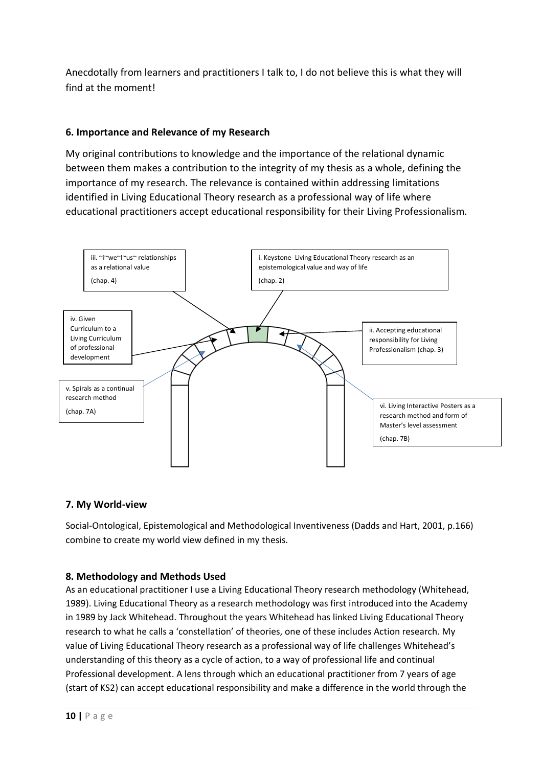Anecdotally from learners and practitioners I talk to, I do not believe this is what they will find at the moment!

## **6. Importance and Relevance of my Research**

My original contributions to knowledge and the importance of the relational dynamic between them makes a contribution to the integrity of my thesis as a whole, defining the importance of my research. The relevance is contained within addressing limitations identified in Living Educational Theory research as a professional way of life where educational practitioners accept educational responsibility for their Living Professionalism.



## **7. My World-view**

Social-Ontological, Epistemological and Methodological Inventiveness (Dadds and Hart, 2001, p.166) combine to create my world view defined in my thesis.

## **8. Methodology and Methods Used**

As an educational practitioner I use a Living Educational Theory research methodology (Whitehead, 1989). Living Educational Theory as a research methodology was first introduced into the Academy in 1989 by Jack Whitehead. Throughout the years Whitehead has linked Living Educational Theory research to what he calls a 'constellation' of theories, one of these includes Action research. My value of Living Educational Theory research as a professional way of life challenges Whitehead's understanding of this theory as a cycle of action, to a way of professional life and continual Professional development. A lens through which an educational practitioner from 7 years of age (start of KS2) can accept educational responsibility and make a difference in the world through the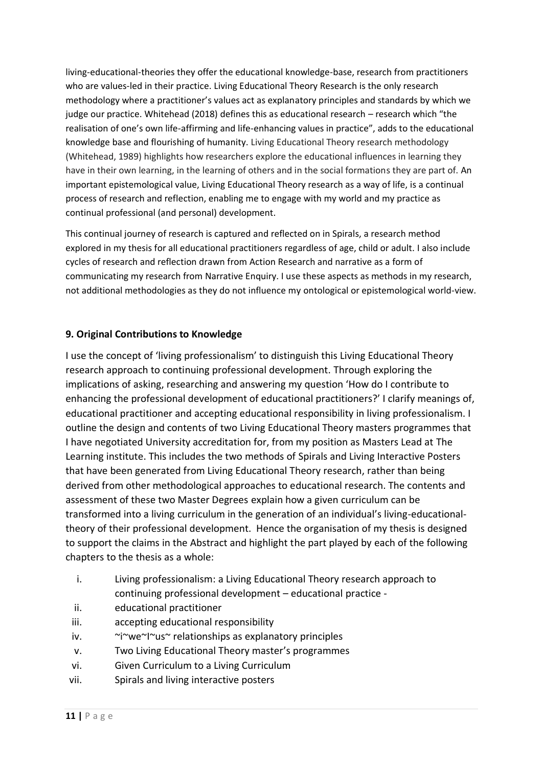living-educational-theories they offer the educational knowledge-base, research from practitioners who are values-led in their practice. Living Educational Theory Research is the only research methodology where a practitioner's values act as explanatory principles and standards by which we judge our practice. Whitehead (2018) defines this as educational research – research which "the realisation of one's own life-affirming and life-enhancing values in practice", adds to the educational knowledge base and flourishing of humanity. Living Educational Theory research methodology (Whitehead, 1989) highlights how researchers explore the educational influences in learning they have in their own learning, in the learning of others and in the social formations they are part of. An important epistemological value, Living Educational Theory research as a way of life, is a continual process of research and reflection, enabling me to engage with my world and my practice as continual professional (and personal) development.

This continual journey of research is captured and reflected on in Spirals, a research method explored in my thesis for all educational practitioners regardless of age, child or adult. I also include cycles of research and reflection drawn from Action Research and narrative as a form of communicating my research from Narrative Enquiry. I use these aspects as methods in my research, not additional methodologies as they do not influence my ontological or epistemological world-view.

# **9. Original Contributions to Knowledge**

I use the concept of 'living professionalism' to distinguish this Living Educational Theory research approach to continuing professional development. Through exploring the implications of asking, researching and answering my question 'How do I contribute to enhancing the professional development of educational practitioners?' I clarify meanings of, educational practitioner and accepting educational responsibility in living professionalism. I outline the design and contents of two Living Educational Theory masters programmes that I have negotiated University accreditation for, from my position as Masters Lead at The Learning institute. This includes the two methods of Spirals and Living Interactive Posters that have been generated from Living Educational Theory research, rather than being derived from other methodological approaches to educational research. The contents and assessment of these two Master Degrees explain how a given curriculum can be transformed into a living curriculum in the generation of an individual's living-educationaltheory of their professional development. Hence the organisation of my thesis is designed to support the claims in the Abstract and highlight the part played by each of the following chapters to the thesis as a whole:

- i. Living professionalism: a Living Educational Theory research approach to continuing professional development – educational practice -
- ii. educational practitioner
- iii. accepting educational responsibility
- iv. ~i~we~I~us~ relationships as explanatory principles
- v. Two Living Educational Theory master's programmes
- vi. Given Curriculum to a Living Curriculum
- vii. Spirals and living interactive posters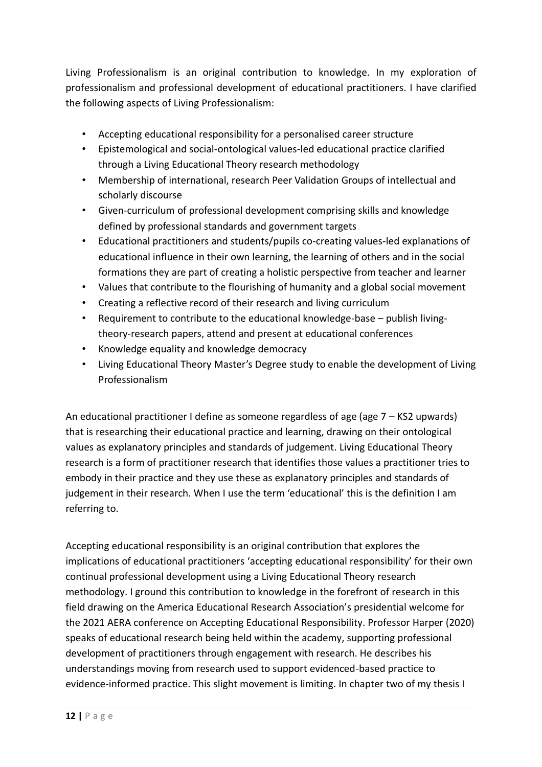Living Professionalism is an original contribution to knowledge. In my exploration of professionalism and professional development of educational practitioners. I have clarified the following aspects of Living Professionalism:

- Accepting educational responsibility for a personalised career structure
- Epistemological and social-ontological values-led educational practice clarified through a Living Educational Theory research methodology
- Membership of international, research Peer Validation Groups of intellectual and scholarly discourse
- Given-curriculum of professional development comprising skills and knowledge defined by professional standards and government targets
- Educational practitioners and students/pupils co-creating values-led explanations of educational influence in their own learning, the learning of others and in the social formations they are part of creating a holistic perspective from teacher and learner
- Values that contribute to the flourishing of humanity and a global social movement
- Creating a reflective record of their research and living curriculum
- Requirement to contribute to the educational knowledge-base publish livingtheory-research papers, attend and present at educational conferences
- Knowledge equality and knowledge democracy
- Living Educational Theory Master's Degree study to enable the development of Living Professionalism

An educational practitioner I define as someone regardless of age (age  $7 -$ KS2 upwards) that is researching their educational practice and learning, drawing on their ontological values as explanatory principles and standards of judgement. Living Educational Theory research is a form of practitioner research that identifies those values a practitioner tries to embody in their practice and they use these as explanatory principles and standards of judgement in their research. When I use the term 'educational' this is the definition I am referring to.

Accepting educational responsibility is an original contribution that explores the implications of educational practitioners 'accepting educational responsibility' for their own continual professional development using a Living Educational Theory research methodology. I ground this contribution to knowledge in the forefront of research in this field drawing on the America Educational Research Association's presidential welcome for the 2021 AERA conference on Accepting Educational Responsibility. Professor Harper (2020) speaks of educational research being held within the academy, supporting professional development of practitioners through engagement with research. He describes his understandings moving from research used to support evidenced-based practice to evidence-informed practice. This slight movement is limiting. In chapter two of my thesis I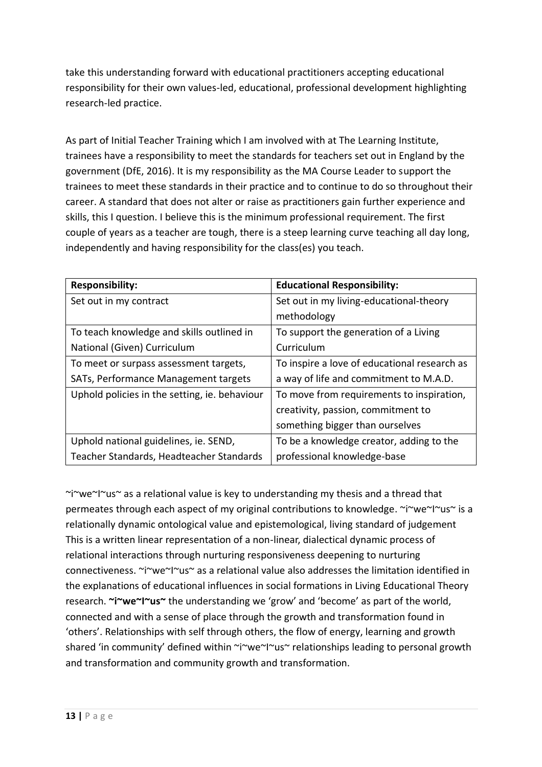take this understanding forward with educational practitioners accepting educational responsibility for their own values-led, educational, professional development highlighting research-led practice.

As part of Initial Teacher Training which I am involved with at The Learning Institute, trainees have a responsibility to meet the standards for teachers set out in England by the government (DfE, 2016). It is my responsibility as the MA Course Leader to support the trainees to meet these standards in their practice and to continue to do so throughout their career. A standard that does not alter or raise as practitioners gain further experience and skills, this I question. I believe this is the minimum professional requirement. The first couple of years as a teacher are tough, there is a steep learning curve teaching all day long, independently and having responsibility for the class(es) you teach.

| <b>Responsibility:</b>                            | <b>Educational Responsibility:</b>           |
|---------------------------------------------------|----------------------------------------------|
| Set out in my contract                            | Set out in my living-educational-theory      |
|                                                   | methodology                                  |
| To teach knowledge and skills outlined in         | To support the generation of a Living        |
| National (Given) Curriculum                       | Curriculum                                   |
| To meet or surpass assessment targets,            | To inspire a love of educational research as |
| SAT <sub>s</sub> , Performance Management targets | a way of life and commitment to M.A.D.       |
| Uphold policies in the setting, ie. behaviour     | To move from requirements to inspiration,    |
|                                                   | creativity, passion, commitment to           |
|                                                   | something bigger than ourselves              |
| Uphold national guidelines, ie. SEND,             | To be a knowledge creator, adding to the     |
| Teacher Standards, Headteacher Standards          | professional knowledge-base                  |

 $\gamma$ i $\gamma$ we $\gamma$ | $\gamma$ us $\gamma$  as a relational value is key to understanding my thesis and a thread that permeates through each aspect of my original contributions to knowledge. ~i~we~I~us~ is a relationally dynamic ontological value and epistemological, living standard of judgement This is a written linear representation of a non-linear, dialectical dynamic process of relational interactions through nurturing responsiveness deepening to nurturing connectiveness. ~i~we~I~us~ as a relational value also addresses the limitation identified in the explanations of educational influences in social formations in Living Educational Theory research. **~i~we~I~us~** the understanding we 'grow' and 'become' as part of the world, connected and with a sense of place through the growth and transformation found in 'others'. Relationships with self through others, the flow of energy, learning and growth shared 'in community' defined within ~i~we~I~us~ relationships leading to personal growth and transformation and community growth and transformation.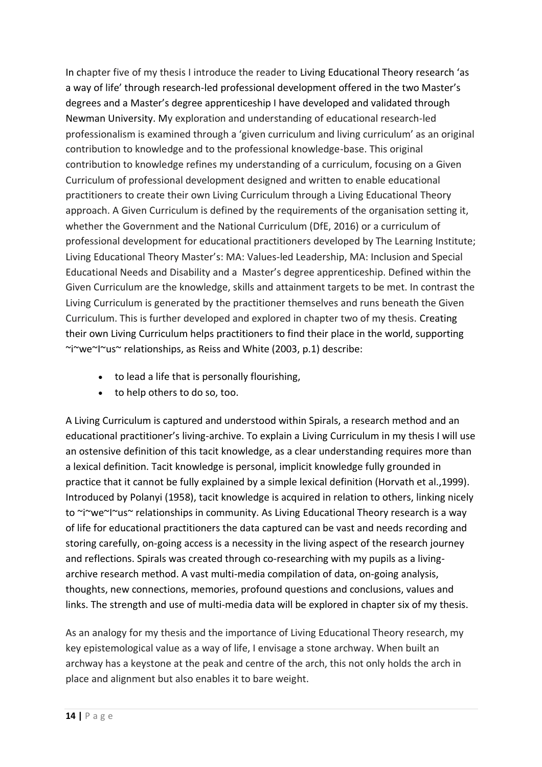In chapter five of my thesis I introduce the reader to Living Educational Theory research 'as a way of life' through research-led professional development offered in the two Master's degrees and a Master's degree apprenticeship I have developed and validated through Newman University. My exploration and understanding of educational research-led professionalism is examined through a 'given curriculum and living curriculum' as an original contribution to knowledge and to the professional knowledge-base. This original contribution to knowledge refines my understanding of a curriculum, focusing on a Given Curriculum of professional development designed and written to enable educational practitioners to create their own Living Curriculum through a Living Educational Theory approach. A Given Curriculum is defined by the requirements of the organisation setting it, whether the Government and the National Curriculum (DfE, 2016) or a curriculum of professional development for educational practitioners developed by The Learning Institute; Living Educational Theory Master's: MA: Values-led Leadership, MA: Inclusion and Special Educational Needs and Disability and a Master's degree apprenticeship. Defined within the Given Curriculum are the knowledge, skills and attainment targets to be met. In contrast the Living Curriculum is generated by the practitioner themselves and runs beneath the Given Curriculum. This is further developed and explored in chapter two of my thesis. Creating their own Living Curriculum helps practitioners to find their place in the world, supporting ~i~we~I~us~ relationships, as Reiss and White (2003, p.1) describe:

- to lead a life that is personally flourishing,
- to help others to do so, too.

A Living Curriculum is captured and understood within Spirals, a research method and an educational practitioner's living-archive. To explain a Living Curriculum in my thesis I will use an ostensive definition of this tacit knowledge, as a clear understanding requires more than a lexical definition. Tacit knowledge is personal, implicit knowledge fully grounded in practice that it cannot be fully explained by a simple lexical definition (Horvath et al.,1999). Introduced by Polanyi (1958), tacit knowledge is acquired in relation to others, linking nicely to ~i~we~I~us~ relationships in community. As Living Educational Theory research is a way of life for educational practitioners the data captured can be vast and needs recording and storing carefully, on-going access is a necessity in the living aspect of the research journey and reflections. Spirals was created through co-researching with my pupils as a livingarchive research method. A vast multi-media compilation of data, on-going analysis, thoughts, new connections, memories, profound questions and conclusions, values and links. The strength and use of multi-media data will be explored in chapter six of my thesis.

As an analogy for my thesis and the importance of Living Educational Theory research, my key epistemological value as a way of life, I envisage a stone archway. When built an archway has a keystone at the peak and centre of the arch, this not only holds the arch in place and alignment but also enables it to bare weight.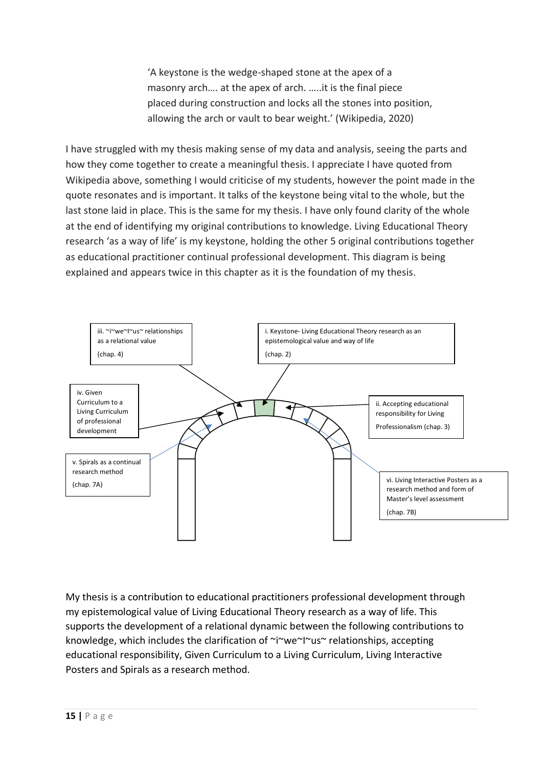'A keystone is the wedge-shaped stone at the apex of a masonry arch…. at the apex of arch. …..it is the final piece placed during construction and locks all the stones into position, allowing the arch or vault to bear weight.' (Wikipedia, 2020)

I have struggled with my thesis making sense of my data and analysis, seeing the parts and how they come together to create a meaningful thesis. I appreciate I have quoted from Wikipedia above, something I would criticise of my students, however the point made in the quote resonates and is important. It talks of the keystone being vital to the whole, but the last stone laid in place. This is the same for my thesis. I have only found clarity of the whole at the end of identifying my original contributions to knowledge. Living Educational Theory research 'as a way of life' is my keystone, holding the other 5 original contributions together as educational practitioner continual professional development. This diagram is being explained and appears twice in this chapter as it is the foundation of my thesis.



My thesis is a contribution to educational practitioners professional development through my epistemological value of Living Educational Theory research as a way of life. This supports the development of a relational dynamic between the following contributions to knowledge, which includes the clarification of ~i~we~I~us~ relationships, accepting educational responsibility, Given Curriculum to a Living Curriculum, Living Interactive Posters and Spirals as a research method.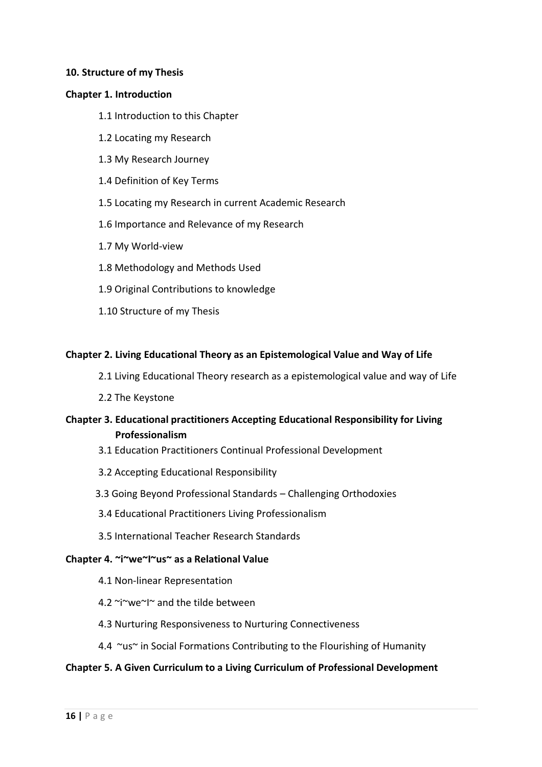#### **10. Structure of my Thesis**

#### **Chapter 1. Introduction**

- 1.1 Introduction to this Chapter
- 1.2 Locating my Research
- 1.3 My Research Journey
- 1.4 Definition of Key Terms
- 1.5 Locating my Research in current Academic Research
- 1.6 Importance and Relevance of my Research
- 1.7 My World-view
- 1.8 Methodology and Methods Used
- 1.9 Original Contributions to knowledge
- 1.10 Structure of my Thesis

#### **Chapter 2. Living Educational Theory as an Epistemological Value and Way of Life**

- 2.1 Living Educational Theory research as a epistemological value and way of Life
- 2.2 The Keystone

# **Chapter 3. Educational practitioners Accepting Educational Responsibility for Living Professionalism**

- 3.1 Education Practitioners Continual Professional Development
- 3.2 Accepting Educational Responsibility
- 3.3 Going Beyond Professional Standards Challenging Orthodoxies
- 3.4 Educational Practitioners Living Professionalism
- 3.5 International Teacher Research Standards

#### **Chapter 4. ~i~we~I~us~ as a Relational Value**

- 4.1 Non-linear Representation
- 4.2 ~i~we~I~ and the tilde between
- 4.3 Nurturing Responsiveness to Nurturing Connectiveness
- 4.4 ~us~ in Social Formations Contributing to the Flourishing of Humanity

#### **Chapter 5. A Given Curriculum to a Living Curriculum of Professional Development**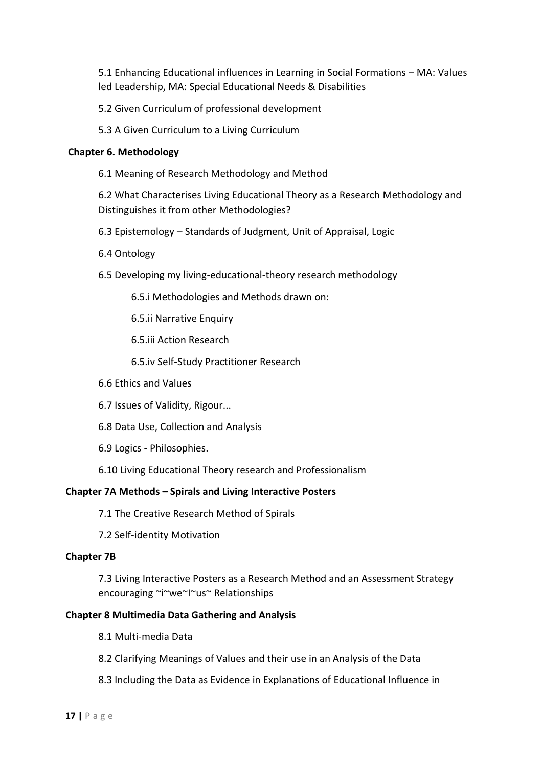5.1 Enhancing Educational influences in Learning in Social Formations – MA: Values led Leadership, MA: Special Educational Needs & Disabilities

5.2 Given Curriculum of professional development

5.3 A Given Curriculum to a Living Curriculum

## **Chapter 6. Methodology**

6.1 Meaning of Research Methodology and Method

6.2 What Characterises Living Educational Theory as a Research Methodology and Distinguishes it from other Methodologies?

6.3 Epistemology – Standards of Judgment, Unit of Appraisal, Logic

- 6.4 Ontology
- 6.5 Developing my living-educational-theory research methodology

6.5.i Methodologies and Methods drawn on:

6.5.ii Narrative Enquiry

6.5.iii Action Research

6.5.iv Self-Study Practitioner Research

6.6 Ethics and Values

6.7 Issues of Validity, Rigour...

6.8 Data Use, Collection and Analysis

6.9 Logics - Philosophies.

6.10 Living Educational Theory research and Professionalism

#### **Chapter 7A Methods – Spirals and Living Interactive Posters**

7.1 The Creative Research Method of Spirals

7.2 Self-identity Motivation

#### **Chapter 7B**

7.3 Living Interactive Posters as a Research Method and an Assessment Strategy encouraging ~i~we~I~us~ Relationships

#### **Chapter 8 Multimedia Data Gathering and Analysis**

8.1 Multi-media Data

- 8.2 Clarifying Meanings of Values and their use in an Analysis of the Data
- 8.3 Including the Data as Evidence in Explanations of Educational Influence in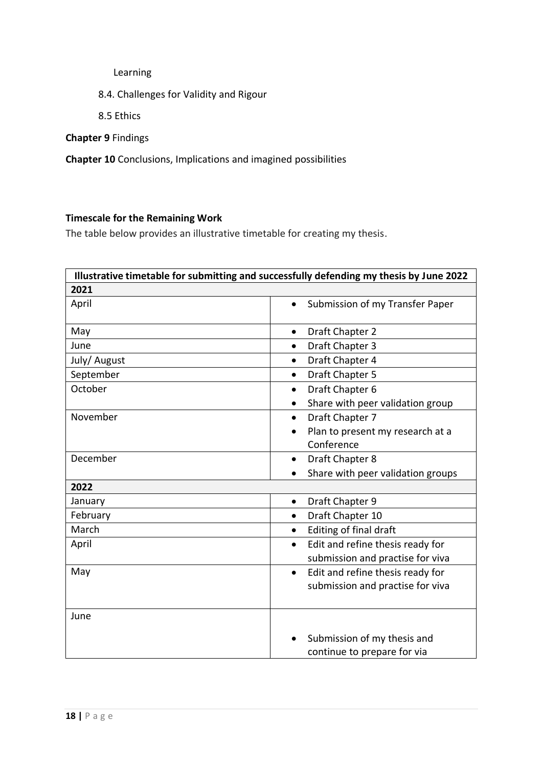Learning

- 8.4. Challenges for Validity and Rigour
- 8.5 Ethics

**Chapter 9** Findings

**Chapter 10** Conclusions, Implications and imagined possibilities

# **Timescale for the Remaining Work**

The table below provides an illustrative timetable for creating my thesis.

| Illustrative timetable for submitting and successfully defending my thesis by June 2022 |                                               |
|-----------------------------------------------------------------------------------------|-----------------------------------------------|
| 2021                                                                                    |                                               |
| April                                                                                   | Submission of my Transfer Paper<br>$\bullet$  |
| May                                                                                     | Draft Chapter 2<br>$\bullet$                  |
| June                                                                                    | Draft Chapter 3<br>$\bullet$                  |
| July/ August                                                                            | Draft Chapter 4<br>$\bullet$                  |
| September                                                                               | Draft Chapter 5<br>$\bullet$                  |
| October                                                                                 | Draft Chapter 6<br>$\bullet$                  |
|                                                                                         | Share with peer validation group              |
| November                                                                                | Draft Chapter 7<br>$\bullet$                  |
|                                                                                         | Plan to present my research at a              |
|                                                                                         | Conference                                    |
| December                                                                                | Draft Chapter 8<br>$\bullet$                  |
|                                                                                         | Share with peer validation groups             |
| 2022                                                                                    |                                               |
| January                                                                                 | Draft Chapter 9<br>$\bullet$                  |
| February                                                                                | Draft Chapter 10<br>$\bullet$                 |
| March                                                                                   | Editing of final draft<br>$\bullet$           |
| April                                                                                   | Edit and refine thesis ready for<br>$\bullet$ |
|                                                                                         | submission and practise for viva              |
| May                                                                                     | Edit and refine thesis ready for<br>$\bullet$ |
|                                                                                         | submission and practise for viva              |
|                                                                                         |                                               |
| June                                                                                    |                                               |
|                                                                                         |                                               |
|                                                                                         | Submission of my thesis and                   |
|                                                                                         | continue to prepare for via                   |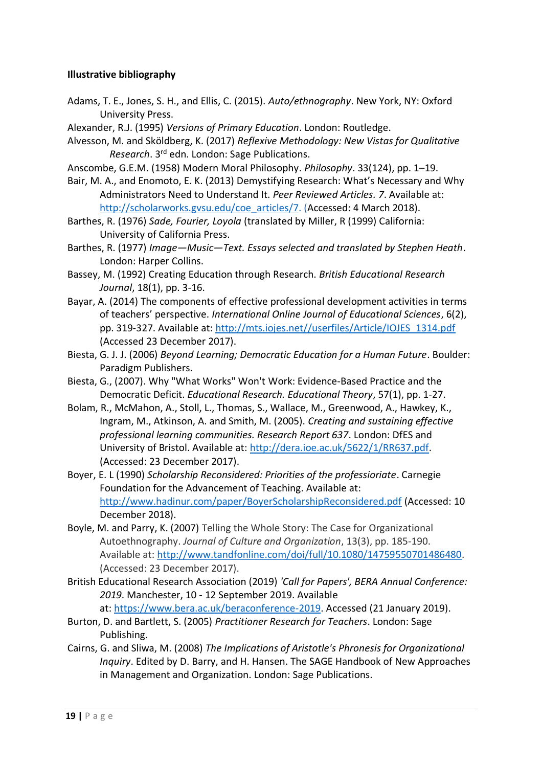## **Illustrative bibliography**

- Adams, T. E., Jones, S. H., and Ellis, C. (2015). *Auto/ethnography*. New York, NY: Oxford University Press.
- Alexander, R.J. (1995) *Versions of Primary Education*. London: Routledge.
- Alvesson, M. and Sköldberg, K. (2017) *Reflexive Methodology: New Vistas for Qualitative Research*. 3rd edn. London: Sage Publications.
- Anscombe, G.E.M. (1958) Modern Moral Philosophy. *Philosophy*. 33(124), pp. 1–19.
- Bair, M. A., and Enomoto, E. K. (2013) Demystifying Research: What's Necessary and Why Administrators Need to Understand It. *Peer Reviewed Articles. 7*. Available at: [http://scholarworks.gvsu.edu/coe\\_articles/7.](http://scholarworks.gvsu.edu/coe_articles/7) (Accessed: 4 March 2018).
- Barthes, R. (1976) *Sade, Fourier, Loyola* (translated by Miller, R (1999) California: University of California Press.
- Barthes, R. (1977) *Image—Music—Text. Essays selected and translated by Stephen Heath*. London: Harper Collins.
- Bassey, M. (1992) Creating Education through Research. *British Educational Research Journal*, 18(1), pp. 3-16.
- Bayar, A. (2014) The components of effective professional development activities in terms of teachers' perspective. *International Online Journal of Educational Sciences*, 6(2), pp. 319-327. Available at: [http://mts.iojes.net//userfiles/Article/IOJES\\_1314.pdf](http://mts.iojes.net/userfiles/Article/IOJES_1314.pdf) (Accessed 23 December 2017).
- Biesta, G. J. J. (2006) *Beyond Learning; Democratic Education for a Human Future*. Boulder: Paradigm Publishers.
- Biesta, G., (2007). Why "What Works" Won't Work: Evidence-Based Practice and the Democratic Deficit. *Educational Research. Educational Theory*, 57(1), pp. 1-27.
- Bolam, R., McMahon, A., Stoll, L., Thomas, S., Wallace, M., Greenwood, A., Hawkey, K., Ingram, M., Atkinson, A. and Smith, M. (2005). *Creating and sustaining effective professional learning communities. Research Report 637*. London: DfES and University of Bristol. Available at: [http://dera.ioe.ac.uk/5622/1/RR637.pdf.](http://dera.ioe.ac.uk/5622/1/RR637.pdf) (Accessed: 23 December 2017).
- Boyer, E. L (1990) *Scholarship Reconsidered: Priorities of the professioriate*. Carnegie Foundation for the Advancement of Teaching. Available at: <http://www.hadinur.com/paper/BoyerScholarshipReconsidered.pdf> (Accessed: 10 December 2018).
- Boyle, M. and Parry, K. (2007) Telling the Whole Story: The Case for Organizational Autoethnography. *Journal of Culture and Organization*, 13(3), pp. 185-190. Available at: [http://www.tandfonline.com/doi/full/10.1080/14759550701486480.](http://www.tandfonline.com/doi/full/10.1080/14759550701486480) (Accessed: 23 December 2017).
- British Educational Research Association (2019) *'Call for Papers', BERA Annual Conference: 2019*. Manchester, 10 - 12 September 2019. Available at: [https://www.bera.ac.uk/beraconference-2019.](https://www.bera.ac.uk/beraconference-2019) Accessed (21 January 2019).
- Burton, D. and Bartlett, S. (2005) *Practitioner Research for Teachers*. London: Sage Publishing.
- Cairns, G. and Sliwa, M. (2008) *The Implications of Aristotle's Phronesis for Organizational Inquiry*. Edited by D. Barry, and H. Hansen. The SAGE Handbook of New Approaches in Management and Organization. London: Sage Publications.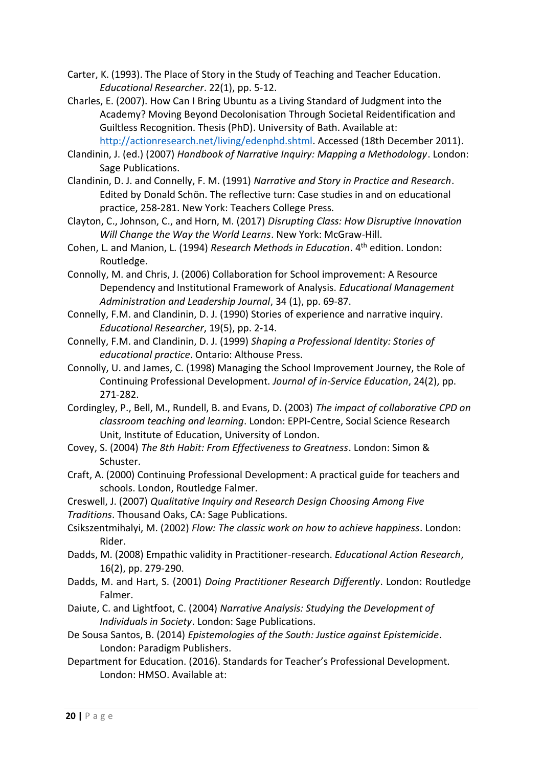- Carter, K. (1993). The Place of Story in the Study of Teaching and Teacher Education. *Educational Researcher*. 22(1), pp. 5-12.
- Charles, E. (2007). How Can I Bring Ubuntu as a Living Standard of Judgment into the Academy? Moving Beyond Decolonisation Through Societal Reidentification and Guiltless Recognition. Thesis (PhD). University of Bath. Available at:
	- [http://actionresearch.net/living/edenphd.shtml.](http://actionresearch.net/living/edenphd.shtml) Accessed (18th December 2011).
- Clandinin, J. (ed.) (2007) *Handbook of Narrative Inquiry: Mapping a Methodology*. London: Sage Publications.
- Clandinin, D. J. and Connelly, F. M. (1991) *Narrative and Story in Practice and Research*. Edited by Donald Schön. The reflective turn: Case studies in and on educational practice, 258-281. New York: Teachers College Press.
- Clayton, C., Johnson, C., and Horn, M. (2017) *Disrupting Class: How Disruptive Innovation Will Change the Way the World Learns*. New York: McGraw-Hill.
- Cohen, L. and Manion, L. (1994) *Research Methods in Education*. 4th edition. London: Routledge.
- Connolly, M. and Chris, J. (2006) Collaboration for School improvement: A Resource Dependency and Institutional Framework of Analysis. *Educational Management Administration and Leadership Journal*, 34 (1), pp. 69-87.
- Connelly, F.M. and Clandinin, D. J. (1990) Stories of experience and narrative inquiry. *Educational Researcher*, 19(5), pp. 2-14.
- Connelly, F.M. and Clandinin, D. J. (1999) *Shaping a Professional Identity: Stories of educational practice*. Ontario: Althouse Press.
- Connolly, U. and James, C. (1998) Managing the School Improvement Journey, the Role of Continuing Professional Development. *Journal of in-Service Education*, 24(2), pp. 271-282.
- Cordingley, P., Bell, M., Rundell, B. and Evans, D. (2003) *The impact of collaborative CPD on classroom teaching and learning*. London: EPPI-Centre, Social Science Research Unit, Institute of Education, University of London.
- Covey, S. (2004) *The 8th Habit: From Effectiveness to Greatness*. London: Simon & Schuster.
- Craft, A. (2000) Continuing Professional Development: A practical guide for teachers and schools. London, Routledge Falmer.

Creswell, J. (2007) *Qualitative Inquiry and Research Design Choosing Among Five* 

- *Traditions*. Thousand Oaks, CA: Sage Publications.
- Csikszentmihalyi, M. (2002) *Flow: The classic work on how to achieve happiness*. London: Rider.
- Dadds, M. (2008) Empathic validity in Practitioner-research. *Educational Action Research*, 16(2), pp. 279-290.
- Dadds, M. and Hart, S. (2001) *Doing Practitioner Research Differently*. London: Routledge Falmer.
- Daiute, C. and Lightfoot, C. (2004) *Narrative Analysis: Studying the Development of Individuals in Society*. London: Sage Publications.
- De Sousa Santos, B. (2014) *Epistemologies of the South: Justice against Epistemicide*. London: Paradigm Publishers.
- Department for Education. (2016). Standards for Teacher's Professional Development. London: HMSO. Available at: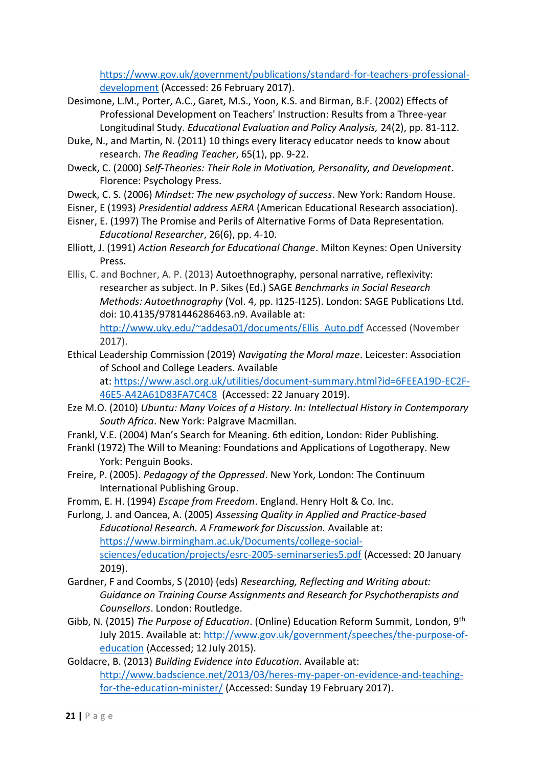[https://www.gov.uk/government/publications/standard-for-teachers-professional](https://www.gov.uk/government/publications/standard-for-teachers-professional-development)[development](https://www.gov.uk/government/publications/standard-for-teachers-professional-development) (Accessed: 26 February 2017).

- Desimone, L.M., Porter, A.C., Garet, M.S., Yoon, K.S. and Birman, B.F. (2002) Effects of Professional Development on Teachers' Instruction: Results from a Three-year Longitudinal Study. *Educational Evaluation and Policy Analysis,* 24(2), pp. 81-112.
- Duke, N., and Martin, N. (2011) 10 things every literacy educator needs to know about research. *The Reading Teacher*, 65(1), pp. 9-22.
- Dweck, C. (2000) *Self-Theories: Their Role in Motivation, Personality, and Development*. Florence: Psychology Press.
- Dweck, C. S. (2006) *Mindset: The new psychology of success*. New York: Random House.
- Eisner, E (1993) *Presidential address AERA* (American Educational Research association).
- Eisner, E. (1997) The Promise and Perils of Alternative Forms of Data Representation. *Educational Researcher*, 26(6), pp. 4-10.
- Elliott, J. (1991) *Action Research for Educational Change*. Milton Keynes: Open University Press.
- Ellis, C. and Bochner, A. P. (2013) Autoethnography, personal narrative, reflexivity: researcher as subject. In P. Sikes (Ed.) SAGE *Benchmarks in Social Research Methods: Autoethnography* (Vol. 4, pp. I125-I125). London: SAGE Publications Ltd. doi: 10.4135/9781446286463.n9. Available at: [http://www.uky.edu/~addesa01/documents/Ellis\\_Auto.pdf](http://www.uky.edu/~addesa01/documents/Ellis_Auto.pdf) Accessed (November 2017).
- Ethical Leadership Commission (2019) *Navigating the Moral maze*. Leicester: Association of School and College Leaders. Available at: [https://www.ascl.org.uk/utilities/document-summary.html?id=6FEEA19D-EC2F-](https://www.ascl.org.uk/utilities/document-summary.html?id=6FEEA19D-EC2F-46E5-A42A61D83FA7C4C8)[46E5-A42A61D83FA7C4C8](https://www.ascl.org.uk/utilities/document-summary.html?id=6FEEA19D-EC2F-46E5-A42A61D83FA7C4C8) (Accessed: 22 January 2019).
- Eze M.O. (2010) *Ubuntu: Many Voices of a History. In: Intellectual History in Contemporary South Africa*. New York: Palgrave Macmillan.
- Frankl, V.E. (2004) Man's Search for Meaning. 6th edition, London: Rider Publishing.
- Frankl (1972) The Will to Meaning: Foundations and Applications of Logotherapy. New York: Penguin Books.
- Freire, P. (2005). *Pedagogy of the Oppressed*. New York, London: The Continuum International Publishing Group.
- Fromm, E. H. (1994) *Escape from Freedom*. England. Henry Holt & Co. Inc.

Furlong, J. and Oancea, A. (2005) *Assessing Quality in Applied and Practice-based Educational Research. A Framework for Discussion.* Available at: [https://www.birmingham.ac.uk/Documents/college-social](https://www.birmingham.ac.uk/Documents/college-social-sciences/education/projects/esrc-2005-seminarseries5.pdf)[sciences/education/projects/esrc-2005-seminarseries5.pdf](https://www.birmingham.ac.uk/Documents/college-social-sciences/education/projects/esrc-2005-seminarseries5.pdf) (Accessed: 20 January 2019).

- Gardner, F and Coombs, S (2010) (eds) *Researching, Reflecting and Writing about: Guidance on Training Course Assignments and Research for Psychotherapists and Counsellors*. London: Routledge.
- Gibb, N. (2015) *The Purpose of Education*. (Online) Education Reform Summit, London, 9th July 2015. Available at: [http://www.gov.uk/government/speeches/the-purpose-of](http://www.gov.uk/government/speeches/the-purpose-of-education)[education](http://www.gov.uk/government/speeches/the-purpose-of-education) (Accessed; 12 July 2015).
- Goldacre, B. (2013) *Building Evidence into Education*. Available at: [http://www.badscience.net/2013/03/heres-my-paper-on-evidence-and-teaching](http://www.badscience.net/2013/03/heres-my-paper-on-evidence-and-teaching-for-the-education-minister/)[for-the-education-minister/](http://www.badscience.net/2013/03/heres-my-paper-on-evidence-and-teaching-for-the-education-minister/) (Accessed: Sunday 19 February 2017).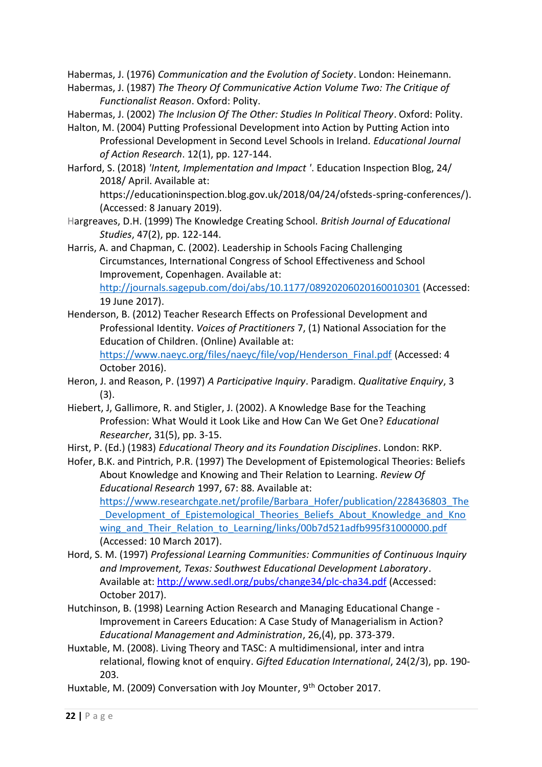Habermas, J. (1976) *Communication and the Evolution of Society*. London: Heinemann.

Habermas, J. (1987) *The Theory Of Communicative Action Volume Two: The Critique of Functionalist Reason*. Oxford: Polity.

Habermas, J. (2002) *The Inclusion Of The Other: Studies In Political Theory*. Oxford: Polity.

- Halton, M. (2004) Putting Professional Development into Action by Putting Action into Professional Development in Second Level Schools in Ireland. *Educational Journal of Action Research*. 12(1), pp. 127-144.
- Harford, S. (2018) *'Intent, Implementation and Impact '*. Education Inspection Blog, 24/ 2018/ April. Available at:

[https://educationinspection.blog.gov.uk/2018/04/24/ofsteds-spring-conferences/\)](https://educationinspection.blog.gov.uk/2018/04/24/ofsteds-spring-conferences/). (Accessed: 8 January 2019).

Hargreaves, D.H. (1999) The Knowledge Creating School*. British Journal of Educational Studies*, 47(2), pp. 122-144.

Harris, A. and Chapman, C. (2002). Leadership in Schools Facing Challenging Circumstances, International Congress of School Effectiveness and School Improvement, Copenhagen. Available at: <http://journals.sagepub.com/doi/abs/10.1177/08920206020160010301> (Accessed:

19 June 2017).

Henderson, B. (2012) Teacher Research Effects on Professional Development and Professional Identity. *Voices of Practitioners* 7, (1) National Association for the Education of Children. (Online) Available at: [https://www.naeyc.org/files/naeyc/file/vop/Henderson\\_Final.pdf](https://www.naeyc.org/files/naeyc/file/vop/Henderson_Final.pdf) (Accessed: 4

October 2016).

- Heron, J. and Reason, P. (1997) *A Participative Inquiry*. Paradigm. *Qualitative Enquiry*, 3 (3).
- Hiebert, J, Gallimore, R. and Stigler, J. (2002). A Knowledge Base for the Teaching Profession: What Would it Look Like and How Can We Get One? *Educational Researcher*, 31(5), pp. 3-15.
- Hirst, P. (Ed.) (1983) *Educational Theory and its Foundation Disciplines*. London: RKP.
- Hofer, B.K. and Pintrich, P.R. (1997) The Development of Epistemological Theories: Beliefs About Knowledge and Knowing and Their Relation to Learning. *Review Of Educational Research* 1997, 67: 88. Available at: [https://www.researchgate.net/profile/Barbara\\_Hofer/publication/228436803\\_The](https://www.researchgate.net/profile/Barbara_Hofer/publication/228436803_The_Development_of_Epistemological_Theories_Beliefs_About_Knowledge_and_Knowing_and_Their_Relation_to_Learning/links/00b7d521adfb995f31000000.pdf)

Development of Epistemological Theories Beliefs About Knowledge and Kno wing\_and\_Their\_Relation\_to\_Learning/links/00b7d521adfb995f31000000.pdf (Accessed: 10 March 2017).

- Hord, S. M. (1997) *Professional Learning Communities: Communities of Continuous Inquiry and Improvement, Texas: Southwest Educational Development Laboratory*. Available at:<http://www.sedl.org/pubs/change34/plc-cha34.pdf> (Accessed: October 2017).
- Hutchinson, B. (1998) Learning Action Research and Managing Educational Change Improvement in Careers Education: A Case Study of Managerialism in Action? *Educational Management and Administration*, 26,(4), pp. 373-379.
- Huxtable, M. (2008). Living Theory and TASC: A multidimensional, inter and intra relational, flowing knot of enquiry. *Gifted Education International*, 24(2/3), pp. 190- 203.
- Huxtable, M. (2009) Conversation with Joy Mounter, 9<sup>th</sup> October 2017.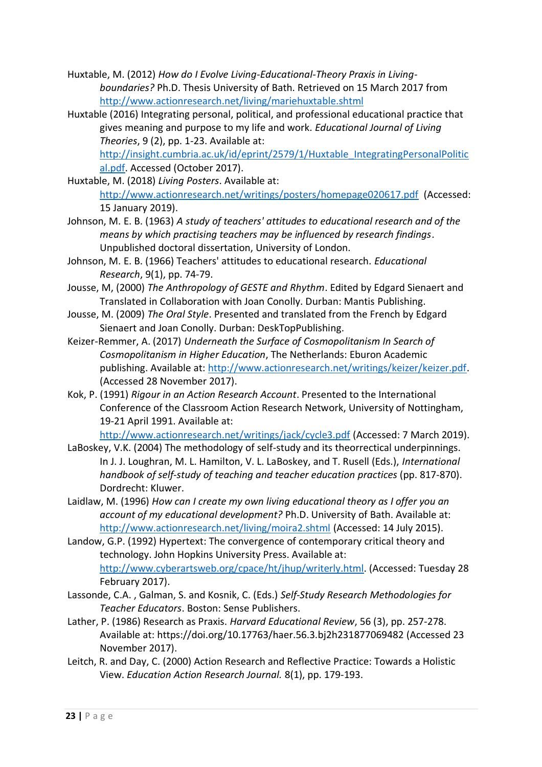- Huxtable, M. (2012) *How do I Evolve Living-Educational-Theory Praxis in Livingboundaries?* Ph.D. Thesis University of Bath. Retrieved on 15 March 2017 from <http://www.actionresearch.net/living/mariehuxtable.shtml>
- Huxtable (2016) Integrating personal, political, and professional educational practice that gives meaning and purpose to my life and work. *Educational Journal of Living Theories*, 9 (2), pp. 1-23. Available at:

[http://insight.cumbria.ac.uk/id/eprint/2579/1/Huxtable\\_IntegratingPersonalPolitic](http://insight.cumbria.ac.uk/id/eprint/2579/1/Huxtable_IntegratingPersonalPolitical.pdf) [al.pdf.](http://insight.cumbria.ac.uk/id/eprint/2579/1/Huxtable_IntegratingPersonalPolitical.pdf) Accessed (October 2017).

- Huxtable, M. (2018) *Living Posters*. Available at: <http://www.actionresearch.net/writings/posters/homepage020617.pdf>(Accessed: 15 January 2019).
- Johnson, M. E. B. (1963) *A study of teachers' attitudes to educational research and of the means by which practising teachers may be influenced by research findings*. Unpublished doctoral dissertation, University of London.
- Johnson, M. E. B. (1966) Teachers' attitudes to educational research. *Educational Research*, 9(1), pp. 74-79.
- Jousse, M, (2000) *The Anthropology of GESTE and Rhythm*. Edited by Edgard Sienaert and Translated in Collaboration with Joan Conolly. Durban: Mantis Publishing.
- Jousse, M. (2009) *The Oral Style*. Presented and translated from the French by Edgard Sienaert and Joan Conolly. Durban: DeskTopPublishing.
- Keizer-Remmer, A. (2017) *Underneath the Surface of Cosmopolitanism In Search of Cosmopolitanism in Higher Education*, The Netherlands: Eburon Academic publishing. Available at: [http://www.actionresearch.net/writings/keizer/keizer.pdf.](http://www.actionresearch.net/writings/keizer/keizer.pdf) (Accessed 28 November 2017).
- Kok, P. (1991) *Rigour in an Action Research Account*. Presented to the International Conference of the Classroom Action Research Network, University of Nottingham, 19-21 April 1991. Available at:

<http://www.actionresearch.net/writings/jack/cycle3.pdf> (Accessed: 7 March 2019).

- LaBoskey, V.K. (2004) The methodology of self-study and its theorrectical underpinnings. In J. J. Loughran, M. L. Hamilton, V. L. LaBoskey, and T. Rusell (Eds.), *International handbook of self-study of teaching and teacher education practices* (pp. 817-870). Dordrecht: Kluwer.
- Laidlaw, M. (1996) *How can I create my own living educational theory as I offer you an account of my educational development?* Ph.D. University of Bath. Available at: <http://www.actionresearch.net/living/moira2.shtml> (Accessed: 14 July 2015).
- Landow, G.P. (1992) Hypertext: The convergence of contemporary critical theory and technology. John Hopkins University Press. Available at: [http://www.cyberartsweb.org/cpace/ht/jhup/writerly.html.](http://www.cyberartsweb.org/cpace/ht/jhup/writerly.html) (Accessed: Tuesday 28 February 2017).
- Lassonde, C.A. , Galman, S. and Kosnik, C. (Eds.) *Self-Study Research Methodologies for Teacher Educators*. Boston: Sense Publishers.
- Lather, P. (1986) Research as Praxis. *Harvard Educational Review*, 56 (3), pp. 257-278. Available at:<https://doi.org/10.17763/haer.56.3.bj2h231877069482> (Accessed 23 November 2017).
- Leitch, R. and Day, C. (2000) Action Research and Reflective Practice: Towards a Holistic View. *Education Action Research Journal.* 8(1), pp. 179-193.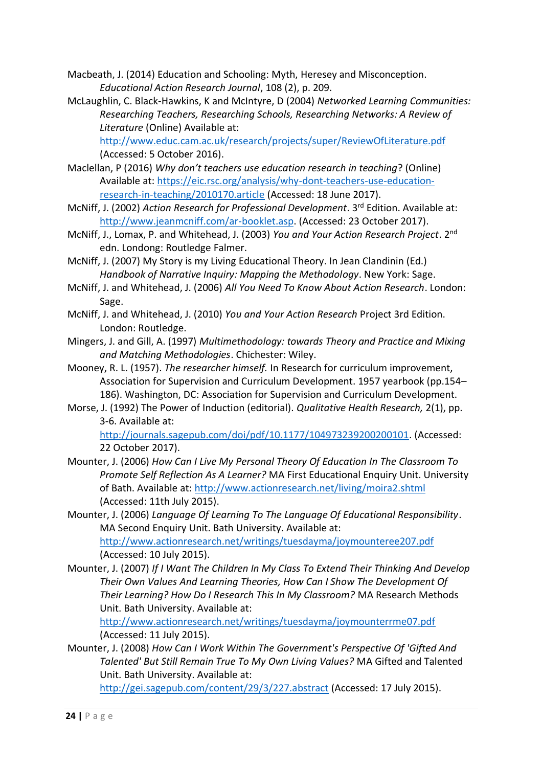Macbeath, J. (2014) Education and Schooling: Myth, Heresey and Misconception. *Educational Action Research Journal*, 108 (2), p. 209.

McLaughlin, C. Black-Hawkins, K and McIntyre, D (2004) *Networked Learning Communities: Researching Teachers, Researching Schools, Researching Networks: A Review of Literature* (Online) Available at:

<http://www.educ.cam.ac.uk/research/projects/super/ReviewOfLiterature.pdf> (Accessed: 5 October 2016).

- Maclellan, P (2016) *Why don't teachers use education research in teaching*? (Online) Available at: [https://eic.rsc.org/analysis/why-dont-teachers-use-education](https://eic.rsc.org/analysis/why-dont-teachers-use-education-research-in-teaching/2010170.article)[research-in-teaching/2010170.article](https://eic.rsc.org/analysis/why-dont-teachers-use-education-research-in-teaching/2010170.article) (Accessed: 18 June 2017).
- McNiff, J. (2002) *Action Research for Professional Development*. 3rd Edition. Available at: [http://www.jeanmcniff.com/ar-booklet.asp.](http://www.jeanmcniff.com/ar-booklet.asp) (Accessed: 23 October 2017).
- McNiff, J., Lomax, P. and Whitehead, J. (2003) *You and Your Action Research Project*. 2nd edn. Londong: Routledge Falmer.
- McNiff, J. (2007) My Story is my Living Educational Theory. In Jean Clandinin (Ed.) *Handbook of Narrative Inquiry: Mapping the Methodology*. New York: Sage.
- McNiff, J. and Whitehead, J. (2006) *All You Need To Know About Action Research*. London: Sage.
- McNiff, J. and Whitehead, J. (2010) *You and Your Action Research* Project 3rd Edition. London: Routledge.
- Mingers, J. and Gill, A. (1997) *Multimethodology: towards Theory and Practice and Mixing and Matching Methodologies*. Chichester: Wiley.
- Mooney, R. L. (1957). *The researcher himself.* In Research for curriculum improvement, Association for Supervision and Curriculum Development. 1957 yearbook (pp.154– 186). Washington, DC: Association for Supervision and Curriculum Development.
- Morse, J. (1992) The Power of Induction (editorial). *Qualitative Health Research,* 2(1), pp. 3-6. Available at:

[http://journals.sagepub.com/doi/pdf/10.1177/104973239200200101.](http://journals.sagepub.com/doi/pdf/10.1177/104973239200200101) (Accessed: 22 October 2017).

- Mounter, J. (2006) *How Can I Live My Personal Theory Of Education In The Classroom To Promote Self Reflection As A Learner?* MA First Educational Enquiry Unit. University of Bath. Available at:<http://www.actionresearch.net/living/moira2.shtml> (Accessed: 11th July 2015).
- Mounter, J. (2006) *Language Of Learning To The Language Of Educational Responsibility*. MA Second Enquiry Unit. Bath University. Available at: <http://www.actionresearch.net/writings/tuesdayma/joymounteree207.pdf>

(Accessed: 10 July 2015).

Mounter, J. (2007) *If I Want The Children In My Class To Extend Their Thinking And Develop Their Own Values And Learning Theories, How Can I Show The Development Of Their Learning? How Do I Research This In My Classroom?* MA Research Methods Unit. Bath University. Available at:

<http://www.actionresearch.net/writings/tuesdayma/joymounterrme07.pdf> (Accessed: 11 July 2015).

Mounter, J. (2008) *How Can I Work Within The Government's Perspective Of 'Gifted And Talented' But Still Remain True To My Own Living Values?* MA Gifted and Talented Unit. Bath University. Available at:

<http://gei.sagepub.com/content/29/3/227.abstract> (Accessed: 17 July 2015).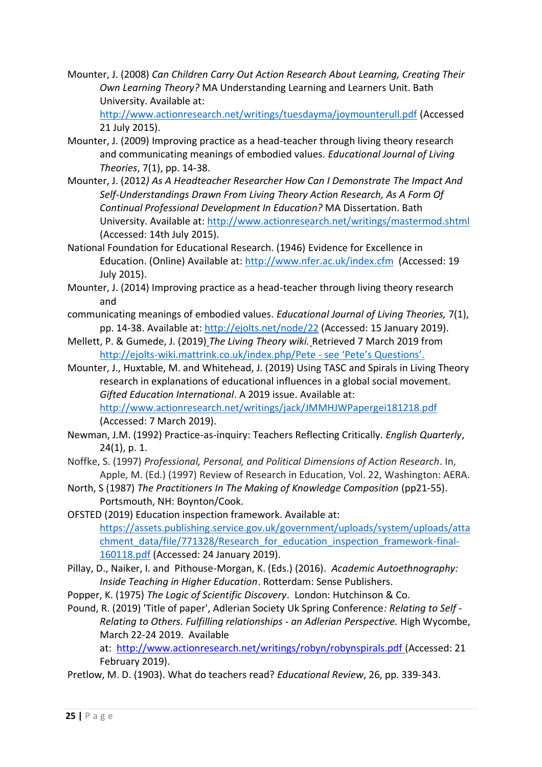Mounter, J. (2008) *Can Children Carry Out Action Research About Learning, Creating Their Own Learning Theory?* MA Understanding Learning and Learners Unit. Bath University. Available at:

<http://www.actionresearch.net/writings/tuesdayma/joymounterull.pdf> (Accessed 21 July 2015).

- Mounter, J. (2009) Improving practice as a head-teacher through living theory research and communicating meanings of embodied values. *Educational Journal of Living Theories*, 7(1), pp. 14-38.
- Mounter, J. (2012*) As A Headteacher Researcher How Can I Demonstrate The Impact And Self-Understandings Drawn From Living Theory Action Research, As A Form Of Continual Professional Development In Education?* MA Dissertation. Bath University. Available at:<http://www.actionresearch.net/writings/mastermod.shtml> (Accessed: 14th July 2015).
- National Foundation for Educational Research. (1946) Evidence for Excellence in Education. (Online) Available at[: http://www.nfer.ac.uk/index.cfm](http://www.nfer.ac.uk/index.cfm) (Accessed: 19 July 2015).
- Mounter, J. (2014) Improving practice as a head-teacher through living theory research and
- communicating meanings of embodied values. *Educational Journal of Living Theories,* 7(1), pp. 14-38. Available at:<http://ejolts.net/node/22> (Accessed: 15 January 2019).
- Mellett, P. & Gumede, J. (2019) *The Living Theory wiki.* Retrieved 7 March 2019 from <http://ejolts-wiki.mattrink.co.uk/index.php/Pete> - see 'Pete's Questions'.
- Mounter, J., Huxtable, M. and Whitehead, J. (2019) Using TASC and Spirals in Living Theory research in explanations of educational influences in a global social movement. *Gifted Education International*. A 2019 issue. Available at: <http://www.actionresearch.net/writings/jack/JMMHJWPapergei181218.pdf> (Accessed: 7 March 2019).
- Newman, J.M. (1992) Practice-as-inquiry: Teachers Reflecting Critically. *English Quarterly*, 24(1), p. 1.
- Noffke, S. (1997) *Professional, Personal, and Political Dimensions of Action Research*. In, Apple, M. (Ed.) (1997) Review of Research in Education, Vol. 22, Washington: AERA.
- North, S (1987) *The Practitioners In The Making of Knowledge Composition* (pp21-55). Portsmouth, NH: Boynton/Cook.
- OFSTED (2019) Education inspection framework. Available at: [https://assets.publishing.service.gov.uk/government/uploads/system/uploads/atta](https://assets.publishing.service.gov.uk/government/uploads/system/uploads/attachment_data/file/771328/Research_for_education_inspection_framework-final-160118.pdf) [chment\\_data/file/771328/Research\\_for\\_education\\_inspection\\_framework-final-](https://assets.publishing.service.gov.uk/government/uploads/system/uploads/attachment_data/file/771328/Research_for_education_inspection_framework-final-160118.pdf)[160118.pdf](https://assets.publishing.service.gov.uk/government/uploads/system/uploads/attachment_data/file/771328/Research_for_education_inspection_framework-final-160118.pdf) (Accessed: 24 January 2019).
- Pillay, D., Naiker, I. and Pithouse-Morgan, K. (Eds.) (2016). *Academic Autoethnography: Inside Teaching in Higher Education*. Rotterdam: Sense Publishers.
- Popper, K. (1975) *The Logic of Scientific Discovery*. London: Hutchinson & Co.
- Pound, R. (2019) 'Title of paper', Adlerian Society Uk Spring Conference*: Relating to Self - Relating to Others. Fulfilling relationships - an Adlerian Perspective.* High Wycombe, March 22-24 2019. Available

at: <http://www.actionresearch.net/writings/robyn/robynspirals.pdf> (Accessed: 21 February 2019).

Pretlow, M. D. (1903). What do teachers read? *Educational Review*, 26, pp. 339-343.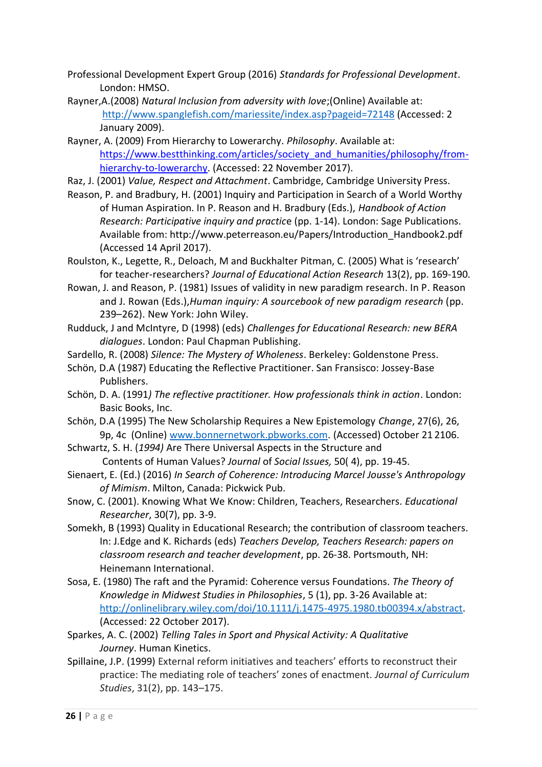- Professional Development Expert Group (2016) *Standards for Professional Development*. London: HMSO.
- Rayner,A.(2008) *Natural Inclusion from adversity with love*;(Online) Available at: <http://www.spanglefish.com/mariessite/index.asp?pageid=72148> (Accessed: 2 January 2009).
- Rayner, A. (2009) From Hierarchy to Lowerarchy. *Philosophy*. Available at: [https://www.bestthinking.com/articles/society\\_and\\_humanities/philosophy/from](https://www.bestthinking.com/articles/society_and_humanities/philosophy/from-hierarchy-to-lowerarchy)[hierarchy-to-lowerarchy.](https://www.bestthinking.com/articles/society_and_humanities/philosophy/from-hierarchy-to-lowerarchy) (Accessed: 22 November 2017).
- Raz, J. (2001) *Value, Respect and Attachment*. Cambridge, Cambridge University Press.
- Reason, P. and Bradbury, H. (2001) Inquiry and Participation in Search of a World Worthy of Human Aspiration. In P. Reason and H. Bradbury (Eds.), *Handbook of Action Research: Participative inquiry and practic*e (pp. 1-14). London: Sage Publications. Available from: http://www.peterreason.eu/Papers/Introduction\_Handbook2.pdf (Accessed 14 April 2017).
- Roulston, K., Legette, R., Deloach, M and Buckhalter Pitman, C. (2005) What is 'research' for teacher-researchers? *Journal of Educational Action Research* 13(2), pp. 169-190.
- Rowan, J. and Reason, P. (1981) Issues of validity in new paradigm research. In P. Reason and J. Rowan (Eds.),*Human inquiry: A sourcebook of new paradigm research* (pp. 239–262). New York: John Wiley.
- Rudduck, J and McIntyre, D (1998) (eds) *Challenges for Educational Research: new BERA dialogues*. London: Paul Chapman Publishing.
- Sardello, R. (2008) *Silence: The Mystery of Wholeness*. Berkeley: Goldenstone Press.
- Schön, D.A (1987) Educating the Reflective Practitioner. San Fransisco: Jossey-Base Publishers.
- Schön, D. A. (1991*) The reflective practitioner. How professionals think in action*. London: Basic Books, Inc.
- Schön, D.A (1995) The New Scholarship Requires a New Epistemology *Change*, 27(6), 26, 9p, 4c (Online) [www.bonnernetwork.pbworks.com.](http://www.bonnernetwork.pbworks.com/) (Accessed) October 21 2106.
- Schwartz, S. H. (*1994)* Are There Universal Aspects in the Structure and Contents of Human Values? *Journal* of *Social Issues,* 50( 4), pp. 19-45.
- Sienaert, E. (Ed.) (2016) *In Search of Coherence: Introducing Marcel Jousse's Anthropology of Mimism*. Milton, Canada: Pickwick Pub.
- Snow, C. (2001). Knowing What We Know: Children, Teachers, Researchers. *Educational Researcher*, 30(7), pp. 3-9.
- Somekh, B (1993) Quality in Educational Research; the contribution of classroom teachers. In: J.Edge and K. Richards (eds) *Teachers Develop, Teachers Research: papers on classroom research and teacher development*, pp. 26-38. Portsmouth, NH: Heinemann International.
- Sosa, E. (1980) The raft and the Pyramid: Coherence versus Foundations. *The Theory of Knowledge in Midwest Studies in Philosophies*, 5 (1), pp. 3-26 Available at: [http://onlinelibrary.wiley.com/doi/10.1111/j.1475-4975.1980.tb00394.x/abstract.](http://onlinelibrary.wiley.com/doi/10.1111/j.1475-4975.1980.tb00394.x/abstract) (Accessed: 22 October 2017).
- Sparkes, A. C. (2002) *Telling Tales in Sport and Physical Activity: A Qualitative Journey*. Human Kinetics.
- Spillaine, J.P. (1999) External reform initiatives and teachers' efforts to reconstruct their practice: The mediating role of teachers' zones of enactment. *Journal of Curriculum Studies*, 31(2), pp. 143–175.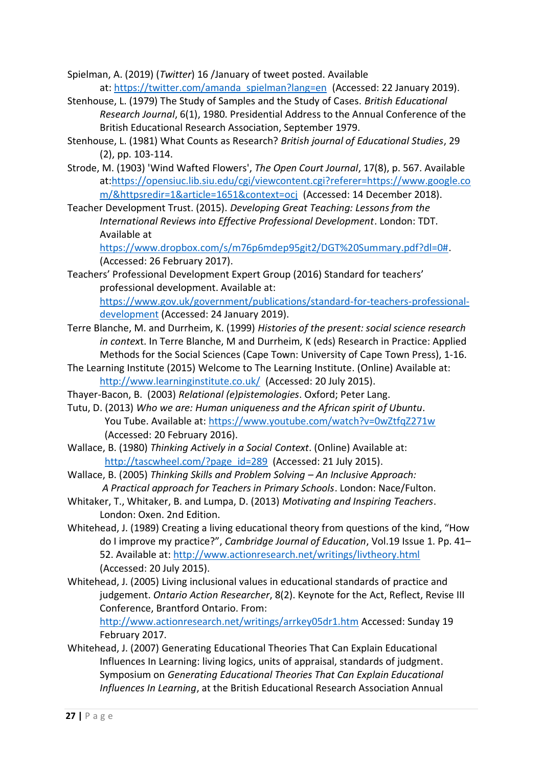- Spielman, A. (2019) (*Twitter*) 16 /January of tweet posted. Available at: [https://twitter.com/amanda\\_spielman?lang=en](https://twitter.com/amanda_spielman?lang=en) (Accessed: 22 January 2019).
- Stenhouse, L. (1979) The Study of Samples and the Study of Cases. *British Educational Research Journal*, 6(1), 1980. Presidential Address to the Annual Conference of the British Educational Research Association, September 1979.
- Stenhouse, L. (1981) What Counts as Research? *British journal of Educational Studies*, 29 (2), pp. 103-114.
- Strode, M. (1903) 'Wind Wafted Flowers', *The Open Court Journal*, 17(8), p. 567. Available at[:https://opensiuc.lib.siu.edu/cgi/viewcontent.cgi?referer=https://www.google.co](https://opensiuc.lib.siu.edu/cgi/viewcontent.cgi?referer=https://www.google.com/&httpsredir=1&article=1651&context=ocj) [m/&httpsredir=1&article=1651&context=ocj](https://opensiuc.lib.siu.edu/cgi/viewcontent.cgi?referer=https://www.google.com/&httpsredir=1&article=1651&context=ocj) (Accessed: 14 December 2018).
- Teacher Development Trust. (2015). *Developing Great Teaching: Lessons from the International Reviews into Effective Professional Development*. London: TDT. Available at

[https://www.dropbox.com/s/m76p6mdep95git2/DGT%20Summary.pdf?dl=0#.](https://www.dropbox.com/s/m76p6mdep95git2/DGT%20Summary.pdf?dl=0) (Accessed: 26 February 2017).

Teachers' Professional Development Expert Group (2016) Standard for teachers' professional development. Available at:

[https://www.gov.uk/government/publications/standard-for-teachers-professional](https://www.gov.uk/government/publications/standard-for-teachers-professional-development)[development](https://www.gov.uk/government/publications/standard-for-teachers-professional-development) (Accessed: 24 January 2019).

- Terre Blanche, M. and Durrheim, K. (1999) *Histories of the present: social science research in contex*t. In Terre Blanche, M and Durrheim, K (eds) Research in Practice: Applied Methods for the Social Sciences (Cape Town: University of Cape Town Press), 1-16.
- The Learning Institute (2015) Welcome to The Learning Institute. (Online) Available at: <http://www.learninginstitute.co.uk/>(Accessed: 20 July 2015).
- Thayer-Bacon, B. (2003) *Relational (e)pistemologies*. Oxford; Peter Lang.
- Tutu, D. (2013) *Who we are: Human uniqueness and the African spirit of Ubuntu*. You Tube. Available at:<https://www.youtube.com/watch?v=0wZtfqZ271w> (Accessed: 20 February 2016).
- Wallace, B. (1980) *Thinking Actively in a Social Context*. (Online) Available at: [http://tascwheel.com/?page\\_id=289](http://tascwheel.com/?page_id=289) (Accessed: 21 July 2015).
- Wallace, B. (2005) *Thinking Skills and Problem Solving – An Inclusive Approach: A Practical approach for Teachers in Primary Schools*. London: Nace/Fulton.
- Whitaker, T., Whitaker, B. and Lumpa, D. (2013) *Motivating and Inspiring Teachers*. London: Oxen. 2nd Edition.
- Whitehead, J. (1989) Creating a living educational theory from questions of the kind, "How do I improve my practice?", *Cambridge Journal of Education*, Vol.19 Issue 1. Pp. 41– 52. Available at:<http://www.actionresearch.net/writings/livtheory.html> (Accessed: 20 July 2015).
- Whitehead, J. (2005) Living inclusional values in educational standards of practice and judgement. *Ontario Action Researcher*, 8(2). Keynote for the Act, Reflect, Revise III Conference, Brantford Ontario. From:

<http://www.actionresearch.net/writings/arrkey05dr1.htm> Accessed: Sunday 19 February 2017.

Whitehead, J. (2007) Generating Educational Theories That Can Explain Educational Influences In Learning: living logics, units of appraisal, standards of judgment. Symposium on *Generating Educational Theories That Can Explain Educational Influences In Learning*, at the British Educational Research Association Annual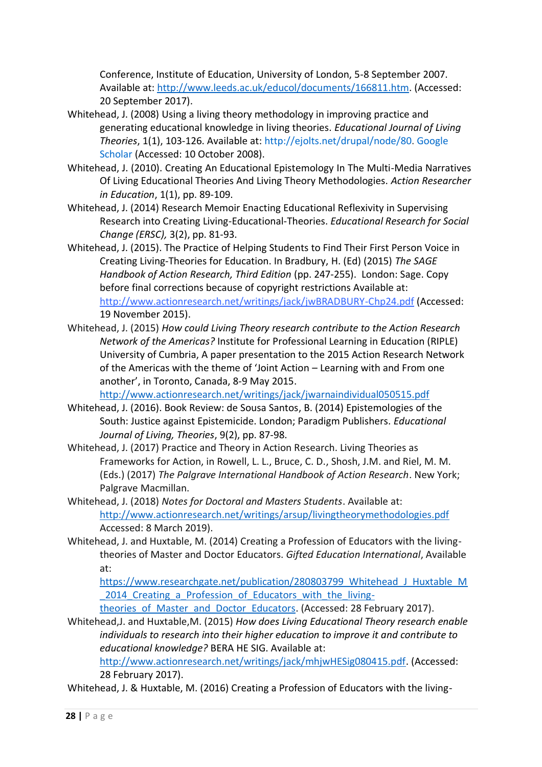Conference, Institute of Education, University of London, 5-8 September 2007. Available at: [http://www.leeds.ac.uk/educol/documents/166811.htm.](http://www.leeds.ac.uk/educol/documents/166811.htm) (Accessed: 20 September 2017).

- Whitehead, J. (2008) Using a living theory methodology in improving practice and generating educational knowledge in living theories. *Educational Journal of Living Theories*, 1(1), 103-126. Available at: [http://ejolts.net/drupal/node/80.](http://ejolts.net/drupal/node/80) [Google](http://scholar.google.com/scholar_lookup?hl=en&publication_year=2008&pages=103-126&issue=1&title=Using+a+living+theory+methodology+in+improving+practice+and+generating+educational+knowledge+in+living+theories&)  [Scholar](http://scholar.google.com/scholar_lookup?hl=en&publication_year=2008&pages=103-126&issue=1&title=Using+a+living+theory+methodology+in+improving+practice+and+generating+educational+knowledge+in+living+theories&) (Accessed: 10 October 2008).
- Whitehead, J. (2010). Creating An Educational Epistemology In The Multi-Media Narratives Of Living Educational Theories And Living Theory Methodologies. *Action Researcher in Education*, 1(1), pp. 89-109.
- Whitehead, J. (2014) Research Memoir Enacting Educational Reflexivity in Supervising Research into Creating Living-Educational-Theories. *Educational Research for Social Change (ERSC),* 3(2), pp. 81-93.
- Whitehead, J. (2015). The Practice of Helping Students to Find Their First Person Voice in Creating Living-Theories for Education. In Bradbury, H. (Ed) (2015) *The SAGE Handbook of Action Research, Third Edition* (pp. 247-255). London: Sage. Copy before final corrections because of copyright restrictions Available at: <http://www.actionresearch.net/writings/jack/jwBRADBURY-Chp24.pdf> (Accessed: 19 November 2015).
- Whitehead, J. (2015) *How could Living Theory research contribute to the Action Research Network of the Americas?* Institute for Professional Learning in Education (RIPLE) University of Cumbria, A paper presentation to the 2015 Action Research Network of the Americas with the theme of 'Joint Action – Learning with and From one another', in Toronto, Canada, 8-9 May 2015.

<http://www.actionresearch.net/writings/jack/jwarnaindividual050515.pdf>

- Whitehead, J. (2016). Book Review: de Sousa Santos, B. (2014) Epistemologies of the South: Justice against Epistemicide. London; Paradigm Publishers. *Educational Journal of Living, Theories*, 9(2), pp. 87-98.
- Whitehead, J. (2017) Practice and Theory in Action Research. Living Theories as Frameworks for Action, in Rowell, L. L., Bruce, C. D., Shosh, J.M. and Riel, M. M. (Eds.) (2017) *The Palgrave International Handbook of Action Research*. New York; Palgrave Macmillan.
- Whitehead, J. (2018) *Notes for Doctoral and Masters Students*. Available at: <http://www.actionresearch.net/writings/arsup/livingtheorymethodologies.pdf> Accessed: 8 March 2019).
- Whitehead, J. and Huxtable, M. (2014) Creating a Profession of Educators with the livingtheories of Master and Doctor Educators. *Gifted Education International*, Available at:

[https://www.researchgate.net/publication/280803799\\_Whitehead\\_J\\_Huxtable\\_M](https://www.researchgate.net/publication/280803799_Whitehead_J_Huxtable_M_2014_Creating_a_Profession_of_Educators_with_the_living-theories_of_Master_and_Doctor_Educators) 2014 Creating a Profession of Educators with the living-

theories of Master and Doctor Educators. (Accessed: 28 February 2017).

Whitehead,J. and Huxtable,M. (2015) *How does Living Educational Theory research enable individuals to research into their higher education to improve it and contribute to educational knowledge?* BERA HE SIG. Available at:

[http://www.actionresearch.net/writings/jack/mhjwHESig080415.pdf.](http://www.actionresearch.net/writings/jack/mhjwHESig080415.pdf) (Accessed: 28 February 2017).

Whitehead, J. & Huxtable, M. (2016) Creating a Profession of Educators with the living-